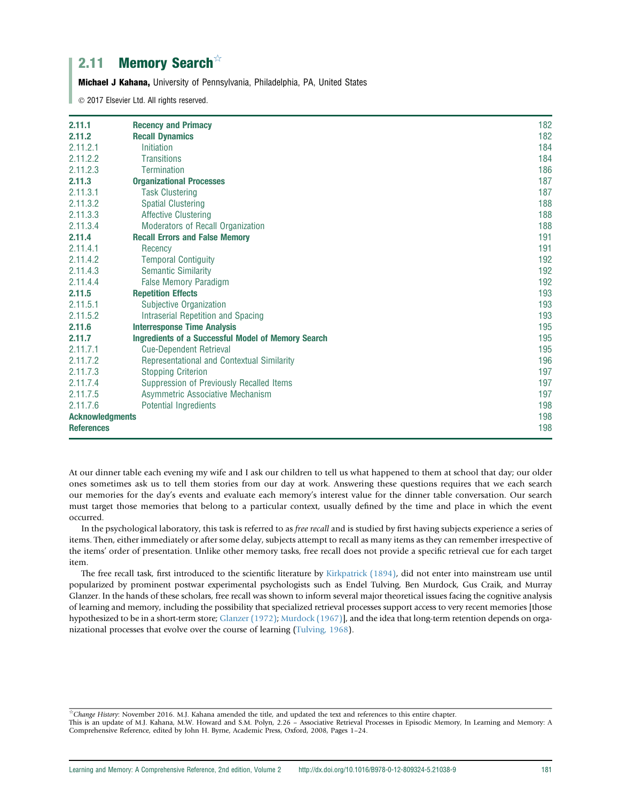# 2.11 Memory Search $\overline{a}$

Michael J Kahana, University of Pennsylvania, Philadelphia, PA, United States

2017 Elsevier Ltd. All rights reserved.

| 2.11.1                 | <b>Recency and Primacy</b>                                | 182 |
|------------------------|-----------------------------------------------------------|-----|
| 2.11.2                 | <b>Recall Dynamics</b>                                    | 182 |
| 2.11.2.1               | Initiation                                                | 184 |
| 2.11.2.2               | <b>Transitions</b>                                        | 184 |
| 2.11.2.3               | <b>Termination</b>                                        | 186 |
| 2.11.3                 | <b>Organizational Processes</b>                           | 187 |
| 2.11.3.1               | <b>Task Clustering</b>                                    | 187 |
| 2.11.3.2               | <b>Spatial Clustering</b>                                 | 188 |
| 2.11.3.3               | <b>Affective Clustering</b>                               | 188 |
| 2.11.3.4               | <b>Moderators of Recall Organization</b>                  | 188 |
| 2.11.4                 | <b>Recall Errors and False Memory</b>                     | 191 |
| 2.11.4.1               | Recency                                                   | 191 |
| 2.11.4.2               | <b>Temporal Contiguity</b>                                | 192 |
| 2.11.4.3               | <b>Semantic Similarity</b>                                | 192 |
| 2.11.4.4               | <b>False Memory Paradigm</b>                              | 192 |
| 2.11.5                 | <b>Repetition Effects</b>                                 | 193 |
| 2.11.5.1               | Subjective Organization                                   | 193 |
| 2.11.5.2               | Intraserial Repetition and Spacing                        | 193 |
| 2.11.6                 | <b>Interresponse Time Analysis</b>                        | 195 |
| 2.11.7                 | <b>Ingredients of a Successful Model of Memory Search</b> | 195 |
| 2.11.7.1               | <b>Cue-Dependent Retrieval</b>                            | 195 |
| 2.11.7.2               | Representational and Contextual Similarity                | 196 |
| 2.11.7.3               | <b>Stopping Criterion</b>                                 | 197 |
| 2.11.7.4               | Suppression of Previously Recalled Items                  | 197 |
| 2.11.7.5               | Asymmetric Associative Mechanism                          | 197 |
| 2.11.7.6               | <b>Potential Ingredients</b>                              | 198 |
| <b>Acknowledgments</b> |                                                           | 198 |
| <b>References</b>      |                                                           | 198 |

At our dinner table each evening my wife and I ask our children to tell us what happened to them at school that day; our older ones sometimes ask us to tell them stories from our day at work. Answering these questions requires that we each search our memories for the day's events and evaluate each memory's interest value for the dinner table conversation. Our search must target those memories that belong to a particular context, usually defined by the time and place in which the event occurred.

In the psychological laboratory, this task is referred to as free recall and is studied by first having subjects experience a series of items. Then, either immediately or after some delay, subjects attempt to recall as many items as they can remember irrespective of the items' order of presentation. Unlike other memory tasks, free recall does not provide a specific retrieval cue for each target item.

The free recall task, first introduced to the scientific literature by [Kirkpatrick \(1894\),](#page-18-0) did not enter into mainstream use until popularized by prominent postwar experimental psychologists such as Endel Tulving, Ben Murdock, Gus Craik, and Murray Glanzer. In the hands of these scholars, free recall was shown to inform several major theoretical issues facing the cognitive analysis of learning and memory, including the possibility that specialized retrieval processes support access to very recent memories [those hypothesized to be in a short-term store; [Glanzer \(1972\)](#page-18-0); [Murdock \(1967\)\]](#page-18-0), and the idea that long-term retention depends on organizational processes that evolve over the course of learning [\(Tulving, 1968](#page-19-0)).

 $*$ Change History: November 2016. M.J. Kahana amended the title, and updated the text and references to this entire chapter. This is an update of M.J. Kahana, M.W. Howard and S.M. Polyn, 2.26 – Associative Retrieval Processes in Episodic Memory, In Learning and Memory: A Comprehensive Reference, edited by John H. Byrne, Academic Press, Oxford, 2008, Pages 1–24.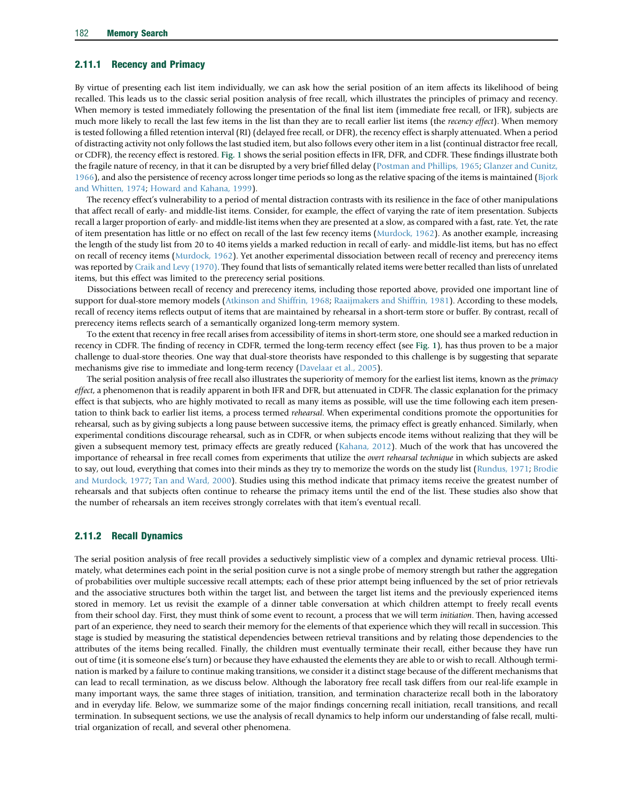# 2.11.1 Recency and Primacy

By virtue of presenting each list item individually, we can ask how the serial position of an item affects its likelihood of being recalled. This leads us to the classic serial position analysis of free recall, which illustrates the principles of primacy and recency. When memory is tested immediately following the presentation of the final list item (immediate free recall, or IFR), subjects are much more likely to recall the last few items in the list than they are to recall earlier list items (the recency effect). When memory is tested following a filled retention interval (RI) (delayed free recall, or DFR), the recency effect is sharply attenuated. When a period of distracting activity not only follows the last studied item, but also follows every other item in a list (continual distractor free recall, or CDFR), the recency effect is restored. [Fig. 1](#page-2-0) shows the serial position effects in IFR, DFR, and CDFR. These findings illustrate both the fragile nature of recency, in that it can be disrupted by a very brief filled delay ([Postman and Phillips, 1965](#page-18-0); [Glanzer and Cunitz,](#page-18-0) [1966\)](#page-18-0), and also the persistence of recency across longer time periods so long as the relative spacing of the items is maintained [\(Bjork](#page-17-0) [and Whitten, 1974](#page-17-0); [Howard and Kahana, 1999](#page-18-0)).

The recency effect's vulnerability to a period of mental distraction contrasts with its resilience in the face of other manipulations that affect recall of early- and middle-list items. Consider, for example, the effect of varying the rate of item presentation. Subjects recall a larger proportion of early- and middle-list items when they are presented at a slow, as compared with a fast, rate. Yet, the rate of item presentation has little or no effect on recall of the last few recency items [\(Murdock, 1962](#page-18-0)). As another example, increasing the length of the study list from 20 to 40 items yields a marked reduction in recall of early- and middle-list items, but has no effect on recall of recency items [\(Murdock, 1962](#page-18-0)). Yet another experimental dissociation between recall of recency and prerecency items was reported by [Craik and Levy \(1970\)](#page-17-0). They found that lists of semantically related items were better recalled than lists of unrelated items, but this effect was limited to the prerecency serial positions.

Dissociations between recall of recency and prerecency items, including those reported above, provided one important line of support for dual-store memory models [\(Atkinson and Shiffrin, 1968;](#page-17-0) [Raaijmakers and Shiffrin, 1981\)](#page-19-0). According to these models, recall of recency items reflects output of items that are maintained by rehearsal in a short-term store or buffer. By contrast, recall of prerecency items reflects search of a semantically organized long-term memory system.

To the extent that recency in free recall arises from accessibility of items in short-term store, one should see a marked reduction in recency in CDFR. The finding of recency in CDFR, termed the long-term recency effect (see [Fig. 1](#page-2-0)), has thus proven to be a major challenge to dual-store theories. One way that dual-store theorists have responded to this challenge is by suggesting that separate mechanisms give rise to immediate and long-term recency [\(Davelaar et al., 2005](#page-18-0)).

The serial position analysis of free recall also illustrates the superiority of memory for the earliest list items, known as the *primacy* effect, a phenomenon that is readily apparent in both IFR and DFR, but attenuated in CDFR. The classic explanation for the primacy effect is that subjects, who are highly motivated to recall as many items as possible, will use the time following each item presentation to think back to earlier list items, a process termed rehearsal. When experimental conditions promote the opportunities for rehearsal, such as by giving subjects a long pause between successive items, the primacy effect is greatly enhanced. Similarly, when experimental conditions discourage rehearsal, such as in CDFR, or when subjects encode items without realizing that they will be given a subsequent memory test, primacy effects are greatly reduced [\(Kahana, 2012](#page-18-0)). Much of the work that has uncovered the importance of rehearsal in free recall comes from experiments that utilize the overt rehearsal technique in which subjects are asked to say, out loud, everything that comes into their minds as they try to memorize the words on the study list ([Rundus, 1971;](#page-19-0) [Brodie](#page-17-0) [and Murdock, 1977;](#page-17-0) [Tan and Ward, 2000\)](#page-19-0). Studies using this method indicate that primacy items receive the greatest number of rehearsals and that subjects often continue to rehearse the primacy items until the end of the list. These studies also show that the number of rehearsals an item receives strongly correlates with that item's eventual recall.

## 2.11.2 Recall Dynamics

The serial position analysis of free recall provides a seductively simplistic view of a complex and dynamic retrieval process. Ultimately, what determines each point in the serial position curve is not a single probe of memory strength but rather the aggregation of probabilities over multiple successive recall attempts; each of these prior attempt being influenced by the set of prior retrievals and the associative structures both within the target list, and between the target list items and the previously experienced items stored in memory. Let us revisit the example of a dinner table conversation at which children attempt to freely recall events from their school day. First, they must think of some event to recount, a process that we will term *initiation*. Then, having accessed part of an experience, they need to search their memory for the elements of that experience which they will recall in succession. This stage is studied by measuring the statistical dependencies between retrieval transitions and by relating those dependencies to the attributes of the items being recalled. Finally, the children must eventually terminate their recall, either because they have run out of time (it is someone else's turn) or because they have exhausted the elements they are able to or wish to recall. Although termination is marked by a failure to continue making transitions, we consider it a distinct stage because of the different mechanisms that can lead to recall termination, as we discuss below. Although the laboratory free recall task differs from our real-life example in many important ways, the same three stages of initiation, transition, and termination characterize recall both in the laboratory and in everyday life. Below, we summarize some of the major findings concerning recall initiation, recall transitions, and recall termination. In subsequent sections, we use the analysis of recall dynamics to help inform our understanding of false recall, multitrial organization of recall, and several other phenomena.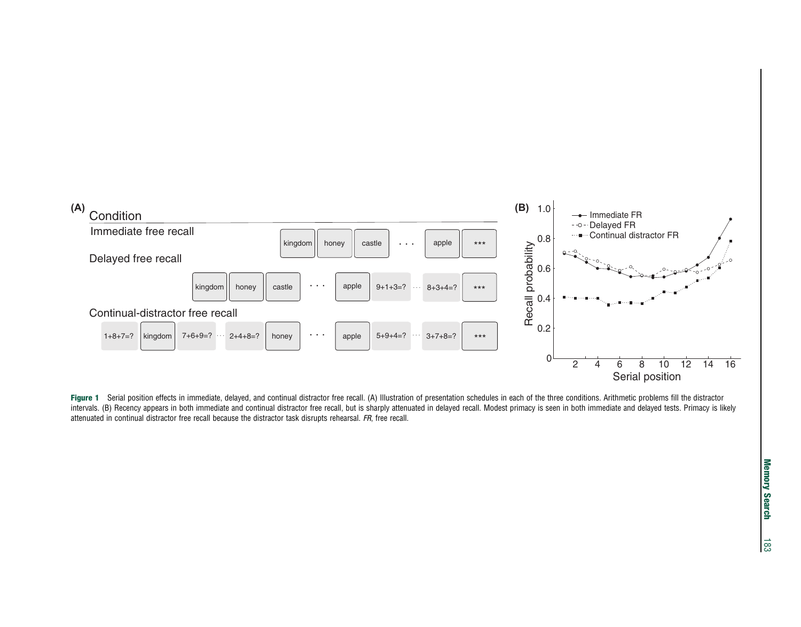<span id="page-2-0"></span>

Figure 1 Serial position effects in immediate, delayed, and continual distractor free recall. (A) Illustration of presentation schedules in each of the three conditions. Arithmetic problems fill the distractor intervals. (B) Recency appears in both immediate and continual distractor free recall, but is sharply attenuated in delayed recall. Modest primacy is seen in both immediate and delayed tests. Primacy is likely attenuated in continual distractor free recall because the distractor task disrupts rehearsal. FR, free recall.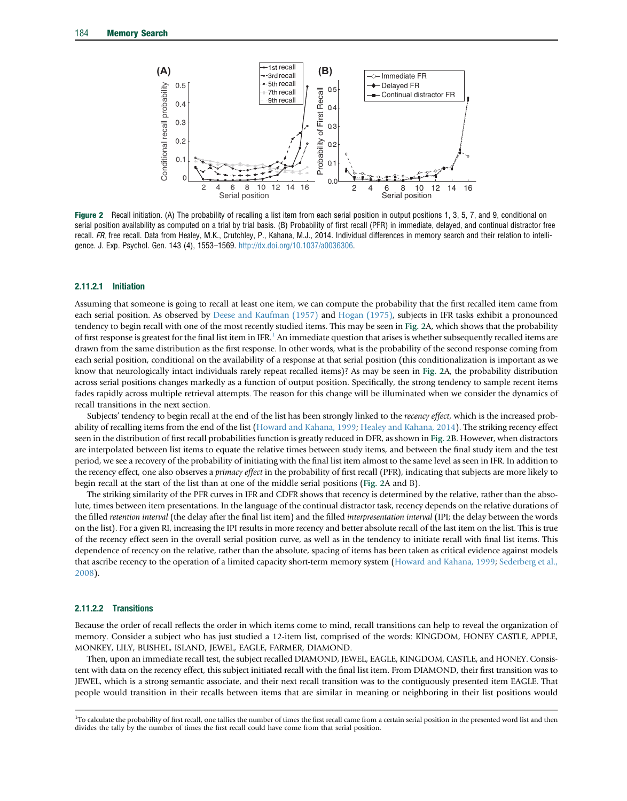

Figure 2 Recall initiation. (A) The probability of recalling a list item from each serial position in output positions 1, 3, 5, 7, and 9, conditional on serial position availability as computed on a trial by trial basis. (B) Probability of first recall (PFR) in immediate, delayed, and continual distractor free recall. FR, free recall. Data from Healey, M.K., Crutchley, P., Kahana, M.J., 2014. Individual differences in memory search and their relation to intelligence. J. Exp. Psychol. Gen. 143 (4), 1553–1569. [http://dx.doi.org/10.1037/a0036306.](http://dx.doi.org/doi:10.1037/a0036306)

## 2.11.2.1 Initiation

Assuming that someone is going to recall at least one item, we can compute the probability that the first recalled item came from each serial position. As observed by [Deese and Kaufman \(1957\)](#page-18-0) and [Hogan \(1975\)](#page-18-0), subjects in IFR tasks exhibit a pronounced tendency to begin recall with one of the most recently studied items. This may be seen in Fig. 2A, which shows that the probability of first response is greatest for the final list item in IFR.<sup>1</sup> An immediate question that arises is whether subsequently recalled items are drawn from the same distribution as the first response. In other words, what is the probability of the second response coming from each serial position, conditional on the availability of a response at that serial position (this conditionalization is important as we know that neurologically intact individuals rarely repeat recalled items)? As may be seen in Fig. 2A, the probability distribution across serial positions changes markedly as a function of output position. Specifically, the strong tendency to sample recent items fades rapidly across multiple retrieval attempts. The reason for this change will be illuminated when we consider the dynamics of recall transitions in the next section.

Subjects' tendency to begin recall at the end of the list has been strongly linked to the recency effect, which is the increased probability of recalling items from the end of the list [\(Howard and Kahana, 1999;](#page-18-0) [Healey and Kahana, 2014\)](#page-18-0). The striking recency effect seen in the distribution of first recall probabilities function is greatly reduced in DFR, as shown in Fig. 2B. However, when distractors are interpolated between list items to equate the relative times between study items, and between the final study item and the test period, we see a recovery of the probability of initiating with the final list item almost to the same level as seen in IFR. In addition to the recency effect, one also observes a primacy effect in the probability of first recall (PFR), indicating that subjects are more likely to begin recall at the start of the list than at one of the middle serial positions (Fig. 2A and B).

The striking similarity of the PFR curves in IFR and CDFR shows that recency is determined by the relative, rather than the absolute, times between item presentations. In the language of the continual distractor task, recency depends on the relative durations of the filled retention interval (the delay after the final list item) and the filled interpresentation interval (IPI; the delay between the words on the list). For a given RI, increasing the IPI results in more recency and better absolute recall of the last item on the list. This is true of the recency effect seen in the overall serial position curve, as well as in the tendency to initiate recall with final list items. This dependence of recency on the relative, rather than the absolute, spacing of items has been taken as critical evidence against models that ascribe recency to the operation of a limited capacity short-term memory system [\(Howard and Kahana, 1999;](#page-18-0) [Sederberg et al.,](#page-19-0) [2008\)](#page-19-0).

#### 2.11.2.2 Transitions

Because the order of recall reflects the order in which items come to mind, recall transitions can help to reveal the organization of memory. Consider a subject who has just studied a 12-item list, comprised of the words: KINGDOM, HONEY CASTLE, APPLE, MONKEY, LILY, BUSHEL, ISLAND, JEWEL, EAGLE, FARMER, DIAMOND.

Then, upon an immediate recall test, the subject recalled DIAMOND, JEWEL, EAGLE, KINGDOM, CASTLE, and HONEY. Consistent with data on the recency effect, this subject initiated recall with the final list item. From DIAMOND, their first transition was to JEWEL, which is a strong semantic associate, and their next recall transition was to the contiguously presented item EAGLE. That people would transition in their recalls between items that are similar in meaning or neighboring in their list positions would

<sup>&</sup>lt;sup>1</sup>To calculate the probability of first recall, one tallies the number of times the first recall came from a certain serial position in the presented word list and then divides the tally by the number of times the first recall could have come from that serial position.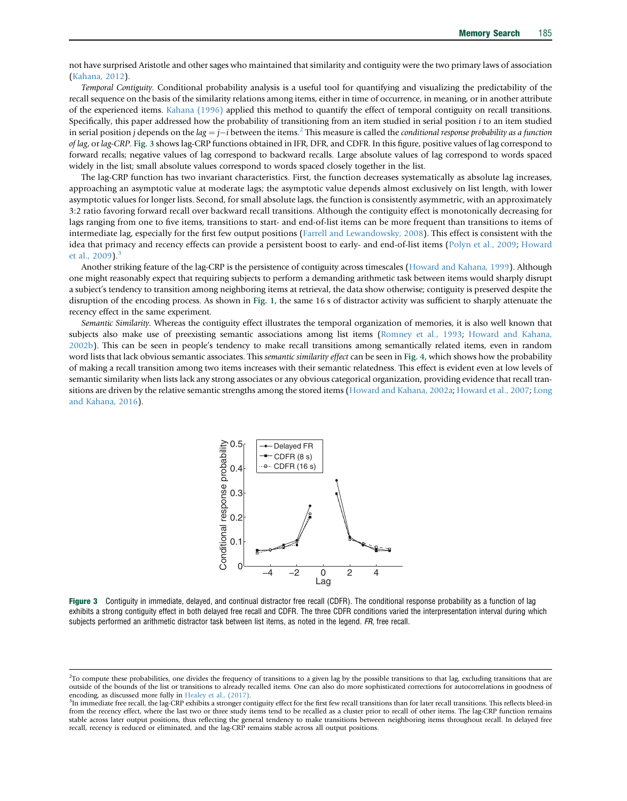not have surprised Aristotle and other sages who maintained that similarity and contiguity were the two primary laws of association ([Kahana, 2012\)](#page-18-0).

Temporal Contiguity. Conditional probability analysis is a useful tool for quantifying and visualizing the predictability of the recall sequence on the basis of the similarity relations among items, either in time of occurrence, in meaning, or in another attribute of the experienced items. [Kahana \(1996\)](#page-18-0) applied this method to quantify the effect of temporal contiguity on recall transitions. Specifically, this paper addressed how the probability of transitioning from an item studied in serial position i to an item studied in serial position j depends on the  $lag = j-i$  between the items.<sup>2</sup> This measure is called the *conditional response probability as a function* of lag, or lag-CRP. Fig. 3 shows lag-CRP functions obtained in IFR, DFR, and CDFR. In this figure, positive values of lag correspond to forward recalls; negative values of lag correspond to backward recalls. Large absolute values of lag correspond to words spaced widely in the list; small absolute values correspond to words spaced closely together in the list.

The lag-CRP function has two invariant characteristics. First, the function decreases systematically as absolute lag increases, approaching an asymptotic value at moderate lags; the asymptotic value depends almost exclusively on list length, with lower asymptotic values for longer lists. Second, for small absolute lags, the function is consistently asymmetric, with an approximately 3:2 ratio favoring forward recall over backward recall transitions. Although the contiguity effect is monotonically decreasing for lags ranging from one to five items, transitions to start- and end-of-list items can be more frequent than transitions to items of intermediate lag, especially for the first few output positions ([Farrell and Lewandowsky, 2008](#page-18-0)). This effect is consistent with the idea that primacy and recency effects can provide a persistent boost to early- and end-of-list items [\(Polyn et al., 2009](#page-18-0); [Howard](#page-18-0) [et al., 2009](#page-18-0)).<sup>3</sup>

Another striking feature of the lag-CRP is the persistence of contiguity across timescales [\(Howard and Kahana, 1999](#page-18-0)). Although one might reasonably expect that requiring subjects to perform a demanding arithmetic task between items would sharply disrupt a subject's tendency to transition among neighboring items at retrieval, the data show otherwise; contiguity is preserved despite the disruption of the encoding process. As shown in [Fig. 1](#page-2-0), the same 16 s of distractor activity was sufficient to sharply attenuate the recency effect in the same experiment.

Semantic Similarity. Whereas the contiguity effect illustrates the temporal organization of memories, it is also well known that subjects also make use of preexisting semantic associations among list items ([Romney et al., 1993](#page-19-0); [Howard and Kahana,](#page-18-0) [2002b](#page-18-0)). This can be seen in people's tendency to make recall transitions among semantically related items, even in random word lists that lack obvious semantic associates. This *semantic similarity effect* can be seen in [Fig. 4](#page-5-0), which shows how the probability of making a recall transition among two items increases with their semantic relatedness. This effect is evident even at low levels of semantic similarity when lists lack any strong associates or any obvious categorical organization, providing evidence that recall transitions are driven by the relative semantic strengths among the stored items ([Howard and Kahana, 2002a](#page-18-0); [Howard et al., 2007](#page-18-0); [Long](#page-18-0) [and Kahana, 2016\)](#page-18-0).



Figure 3 Contiguity in immediate, delayed, and continual distractor free recall (CDFR). The conditional response probability as a function of lag exhibits a strong contiguity effect in both delayed free recall and CDFR. The three CDFR conditions varied the interpresentation interval during which subjects performed an arithmetic distractor task between list items, as noted in the legend. FR, free recall.

<sup>&</sup>lt;sup>2</sup>To compute these probabilities, one divides the frequency of transitions to a given lag by the possible transitions to that lag, excluding transitions that are outside of the bounds of the list or transitions to already recalled items. One can also do more sophisticated corrections for autocorrelations in goodness of encoding, as discussed more fully in [Healey et al., \(2017\).](#page-18-0)<br><sup>3</sup>In immediate free recall, the lag-CRP exhibits a stronger contiguity effect for the first few recall transitions than for later recall transitions. This reflec

from the recency effect, where the last two or three study items tend to be recalled as a cluster prior to recall of other items. The lag-CRP function remains stable across later output positions, thus reflecting the general tendency to make transitions between neighboring items throughout recall. In delayed free recall, recency is reduced or eliminated, and the lag-CRP remains stable across all output positions.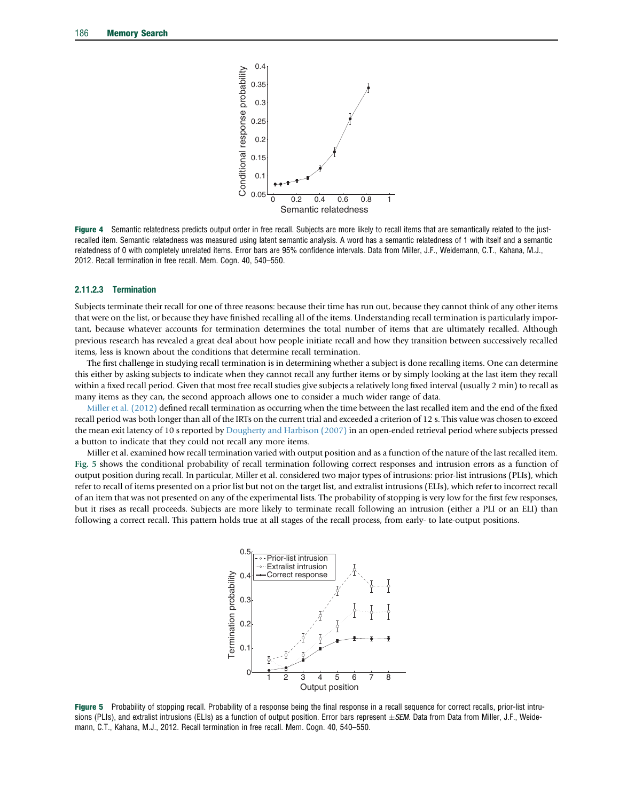<span id="page-5-0"></span>

Figure 4 Semantic relatedness predicts output order in free recall. Subjects are more likely to recall items that are semantically related to the justrecalled item. Semantic relatedness was measured using latent semantic analysis. A word has a semantic relatedness of 1 with itself and a semantic relatedness of 0 with completely unrelated items. Error bars are 95% confidence intervals. Data from Miller, J.F., Weidemann, C.T., Kahana, M.J., 2012. Recall termination in free recall. Mem. Cogn. 40, 540–550.

#### 2.11.2.3 Termination

Subjects terminate their recall for one of three reasons: because their time has run out, because they cannot think of any other items that were on the list, or because they have finished recalling all of the items. Understanding recall termination is particularly important, because whatever accounts for termination determines the total number of items that are ultimately recalled. Although previous research has revealed a great deal about how people initiate recall and how they transition between successively recalled items, less is known about the conditions that determine recall termination.

The first challenge in studying recall termination is in determining whether a subject is done recalling items. One can determine this either by asking subjects to indicate when they cannot recall any further items or by simply looking at the last item they recall within a fixed recall period. Given that most free recall studies give subjects a relatively long fixed interval (usually 2 min) to recall as many items as they can, the second approach allows one to consider a much wider range of data.

[Miller et al. \(2012\)](#page-18-0) defined recall termination as occurring when the time between the last recalled item and the end of the fixed recall period was both longer than all of the IRTs on the current trial and exceeded a criterion of 12 s. This value was chosen to exceed the mean exit latency of 10 s reported by [Dougherty and Harbison \(2007\)](#page-18-0) in an open-ended retrieval period where subjects pressed a button to indicate that they could not recall any more items.

Miller et al. examined how recall termination varied with output position and as a function of the nature of the last recalled item. Fig. 5 shows the conditional probability of recall termination following correct responses and intrusion errors as a function of output position during recall. In particular, Miller et al. considered two major types of intrusions: prior-list intrusions (PLIs), which refer to recall of items presented on a prior list but not on the target list, and extralist intrusions (ELIs), which refer to incorrect recall of an item that was not presented on any of the experimental lists. The probability of stopping is very low for the first few responses, but it rises as recall proceeds. Subjects are more likely to terminate recall following an intrusion (either a PLI or an ELI) than following a correct recall. This pattern holds true at all stages of the recall process, from early- to late-output positions.



Figure 5 Probability of stopping recall. Probability of a response being the final response in a recall sequence for correct recalls, prior-list intrusions (PLIs), and extralist intrusions (ELIs) as a function of output position. Error bars represent  $\pm$ SEM. Data from Data from Miller, J.F., Weidemann, C.T., Kahana, M.J., 2012. Recall termination in free recall. Mem. Cogn. 40, 540–550.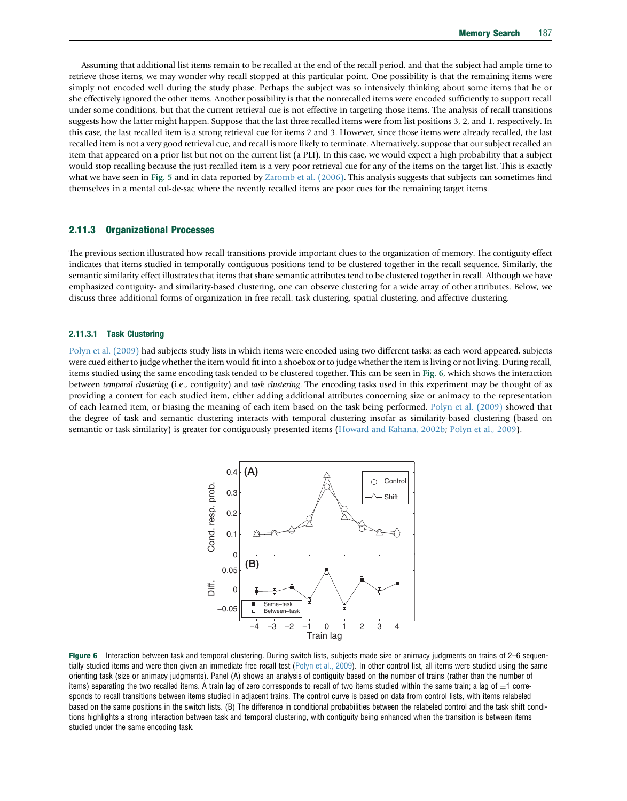Assuming that additional list items remain to be recalled at the end of the recall period, and that the subject had ample time to retrieve those items, we may wonder why recall stopped at this particular point. One possibility is that the remaining items were simply not encoded well during the study phase. Perhaps the subject was so intensively thinking about some items that he or she effectively ignored the other items. Another possibility is that the nonrecalled items were encoded sufficiently to support recall under some conditions, but that the current retrieval cue is not effective in targeting those items. The analysis of recall transitions suggests how the latter might happen. Suppose that the last three recalled items were from list positions 3, 2, and 1, respectively. In this case, the last recalled item is a strong retrieval cue for items 2 and 3. However, since those items were already recalled, the last recalled item is not a very good retrieval cue, and recall is more likely to terminate. Alternatively, suppose that our subject recalled an item that appeared on a prior list but not on the current list (a PLI). In this case, we would expect a high probability that a subject would stop recalling because the just-recalled item is a very poor retrieval cue for any of the items on the target list. This is exactly what we have seen in [Fig. 5](#page-5-0) and in data reported by [Zaromb et al. \(2006\).](#page-19-0) This analysis suggests that subjects can sometimes find themselves in a mental cul-de-sac where the recently recalled items are poor cues for the remaining target items.

# 2.11.3 Organizational Processes

The previous section illustrated how recall transitions provide important clues to the organization of memory. The contiguity effect indicates that items studied in temporally contiguous positions tend to be clustered together in the recall sequence. Similarly, the semantic similarity effect illustrates that items that share semantic attributes tend to be clustered together in recall. Although we have emphasized contiguity- and similarity-based clustering, one can observe clustering for a wide array of other attributes. Below, we discuss three additional forms of organization in free recall: task clustering, spatial clustering, and affective clustering.

# 2.11.3.1 Task Clustering

[Polyn et al. \(2009\)](#page-18-0) had subjects study lists in which items were encoded using two different tasks: as each word appeared, subjects were cued either to judge whether the item would fit into a shoebox or to judge whether the item is living or not living. During recall, items studied using the same encoding task tended to be clustered together. This can be seen in Fig. 6, which shows the interaction between temporal clustering (i.e., contiguity) and task clustering. The encoding tasks used in this experiment may be thought of as providing a context for each studied item, either adding additional attributes concerning size or animacy to the representation of each learned item, or biasing the meaning of each item based on the task being performed. [Polyn et al. \(2009\)](#page-18-0) showed that the degree of task and semantic clustering interacts with temporal clustering insofar as similarity-based clustering (based on semantic or task similarity) is greater for contiguously presented items ([Howard and Kahana, 2002b;](#page-18-0) [Polyn et al., 2009](#page-18-0)).



Figure 6 Interaction between task and temporal clustering. During switch lists, subjects made size or animacy judgments on trains of 2-6 sequentially studied items and were then given an immediate free recall test [\(Polyn et al., 2009\)](#page-18-0). In other control list, all items were studied using the same orienting task (size or animacy judgments). Panel (A) shows an analysis of contiguity based on the number of trains (rather than the number of items) separating the two recalled items. A train lag of zero corresponds to recall of two items studied within the same train; a lag of  $\pm 1$  corresponds to recall transitions between items studied in adjacent trains. The control curve is based on data from control lists, with items relabeled based on the same positions in the switch lists. (B) The difference in conditional probabilities between the relabeled control and the task shift conditions highlights a strong interaction between task and temporal clustering, with contiguity being enhanced when the transition is between items studied under the same encoding task.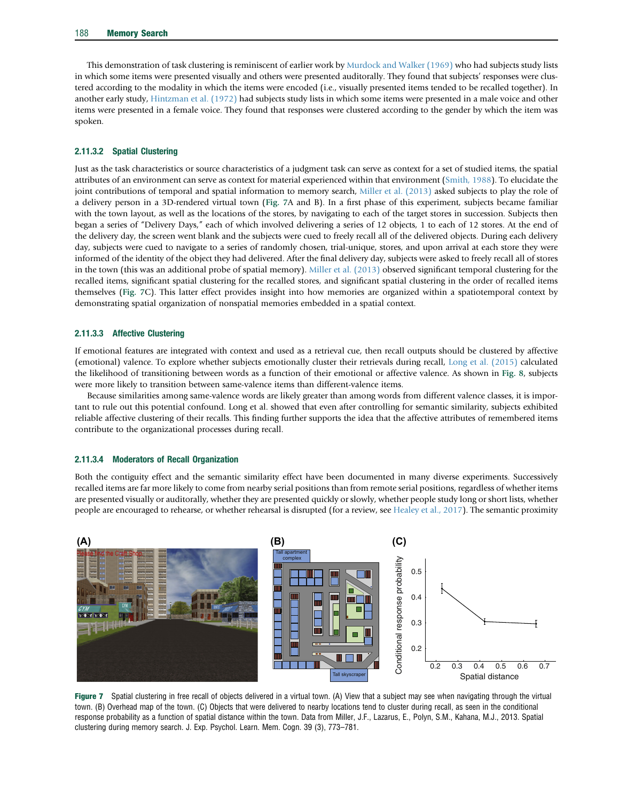This demonstration of task clustering is reminiscent of earlier work by [Murdock and Walker \(1969\)](#page-18-0) who had subjects study lists in which some items were presented visually and others were presented auditorally. They found that subjects' responses were clustered according to the modality in which the items were encoded (i.e., visually presented items tended to be recalled together). In another early study, [Hintzman et al. \(1972\)](#page-18-0) had subjects study lists in which some items were presented in a male voice and other items were presented in a female voice. They found that responses were clustered according to the gender by which the item was spoken.

## 2.11.3.2 Spatial Clustering

Just as the task characteristics or source characteristics of a judgment task can serve as context for a set of studied items, the spatial attributes of an environment can serve as context for material experienced within that environment [\(Smith, 1988\)](#page-19-0). To elucidate the joint contributions of temporal and spatial information to memory search, [Miller et al. \(2013\)](#page-18-0) asked subjects to play the role of a delivery person in a 3D-rendered virtual town (Fig. 7A and B). In a first phase of this experiment, subjects became familiar with the town layout, as well as the locations of the stores, by navigating to each of the target stores in succession. Subjects then began a series of "Delivery Days," each of which involved delivering a series of 12 objects, 1 to each of 12 stores. At the end of the delivery day, the screen went blank and the subjects were cued to freely recall all of the delivered objects. During each delivery day, subjects were cued to navigate to a series of randomly chosen, trial-unique, stores, and upon arrival at each store they were informed of the identity of the object they had delivered. After the final delivery day, subjects were asked to freely recall all of stores in the town (this was an additional probe of spatial memory). [Miller et al. \(2013\)](#page-18-0) observed significant temporal clustering for the recalled items, significant spatial clustering for the recalled stores, and significant spatial clustering in the order of recalled items themselves (Fig. 7C). This latter effect provides insight into how memories are organized within a spatiotemporal context by demonstrating spatial organization of nonspatial memories embedded in a spatial context.

# 2.11.3.3 Affective Clustering

If emotional features are integrated with context and used as a retrieval cue, then recall outputs should be clustered by affective (emotional) valence. To explore whether subjects emotionally cluster their retrievals during recall, [Long et al. \(2015\)](#page-18-0) calculated the likelihood of transitioning between words as a function of their emotional or affective valence. As shown in [Fig. 8](#page-8-0), subjects were more likely to transition between same-valence items than different-valence items.

Because similarities among same-valence words are likely greater than among words from different valence classes, it is important to rule out this potential confound. Long et al. showed that even after controlling for semantic similarity, subjects exhibited reliable affective clustering of their recalls. This finding further supports the idea that the affective attributes of remembered items contribute to the organizational processes during recall.

#### 2.11.3.4 Moderators of Recall Organization

Both the contiguity effect and the semantic similarity effect have been documented in many diverse experiments. Successively recalled items are far more likely to come from nearby serial positions than from remote serial positions, regardless of whether items are presented visually or auditorally, whether they are presented quickly or slowly, whether people study long or short lists, whether people are encouraged to rehearse, or whether rehearsal is disrupted (for a review, see [Healey et al., 2017\)](#page-18-0). The semantic proximity



Figure 7 Spatial clustering in free recall of objects delivered in a virtual town. (A) View that a subject may see when navigating through the virtual town. (B) Overhead map of the town. (C) Objects that were delivered to nearby locations tend to cluster during recall, as seen in the conditional response probability as a function of spatial distance within the town. Data from Miller, J.F., Lazarus, E., Polyn, S.M., Kahana, M.J., 2013. Spatial clustering during memory search. J. Exp. Psychol. Learn. Mem. Cogn. 39 (3), 773–781.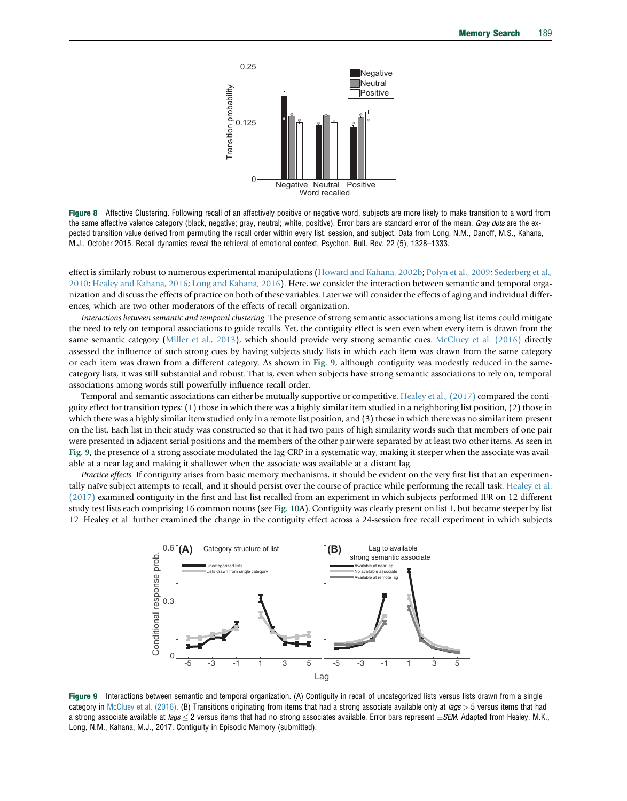<span id="page-8-0"></span>

**Figure 8** Affective Clustering. Following recall of an affectively positive or negative word, subjects are more likely to make transition to a word from the same affective valence category (black, negative; gray, neutral; white, positive). Error bars are standard error of the mean. Gray dots are the expected transition value derived from permuting the recall order within every list, session, and subject. Data from Long, N.M., Danoff, M.S., Kahana, M.J., October 2015. Recall dynamics reveal the retrieval of emotional context. Psychon. Bull. Rev. 22 (5), 1328–1333.

effect is similarly robust to numerous experimental manipulations ([Howard and Kahana, 2002b](#page-18-0); [Polyn et al., 2009;](#page-18-0) [Sederberg et al.,](#page-19-0) [2010](#page-19-0); [Healey and Kahana, 2016;](#page-18-0) [Long and Kahana, 2016\)](#page-18-0). Here, we consider the interaction between semantic and temporal organization and discuss the effects of practice on both of these variables. Later we will consider the effects of aging and individual differences, which are two other moderators of the effects of recall organization.

Interactions between semantic and temporal clustering. The presence of strong semantic associations among list items could mitigate the need to rely on temporal associations to guide recalls. Yet, the contiguity effect is seen even when every item is drawn from the same semantic category [\(Miller et al., 2013](#page-18-0)), which should provide very strong semantic cues. [McCluey et al. \(2016\)](#page-18-0) directly assessed the influence of such strong cues by having subjects study lists in which each item was drawn from the same category or each item was drawn from a different category. As shown in Fig. 9, although contiguity was modestly reduced in the samecategory lists, it was still substantial and robust. That is, even when subjects have strong semantic associations to rely on, temporal associations among words still powerfully influence recall order.

Temporal and semantic associations can either be mutually supportive or competitive. [Healey et al., \(2017\)](#page-18-0) compared the contiguity effect for transition types: (1) those in which there was a highly similar item studied in a neighboring list position, (2) those in which there was a highly similar item studied only in a remote list position, and (3) those in which there was no similar item present on the list. Each list in their study was constructed so that it had two pairs of high similarity words such that members of one pair were presented in adjacent serial positions and the members of the other pair were separated by at least two other items. As seen in Fig. 9, the presence of a strong associate modulated the lag-CRP in a systematic way, making it steeper when the associate was available at a near lag and making it shallower when the associate was available at a distant lag.

Practice effects. If contiguity arises from basic memory mechanisms, it should be evident on the very first list that an experimen-tally naïve subject attempts to recall, and it should persist over the course of practice while performing the recall task. [Healey et al.](#page-18-0) [\(2017\)](#page-18-0) examined contiguity in the first and last list recalled from an experiment in which subjects performed IFR on 12 different study-test lists each comprising 16 common nouns (see [Fig. 10](#page-9-0)A). Contiguity was clearly present on list 1, but became steeper by list 12. Healey et al. further examined the change in the contiguity effect across a 24-session free recall experiment in which subjects



Figure 9 Interactions between semantic and temporal organization. (A) Contiguity in recall of uncategorized lists versus lists drawn from a single category in [McCluey et al. \(2016\)](#page-18-0). (B) Transitions originating from items that had a strong associate available only at lags  $>$  5 versus items that had a strong associate available at lags  $\leq$  2 versus items that had no strong associates available. Error bars represent  $\pm$  SEM. Adapted from Healey, M.K., Long, N.M., Kahana, M.J., 2017. Contiguity in Episodic Memory (submitted).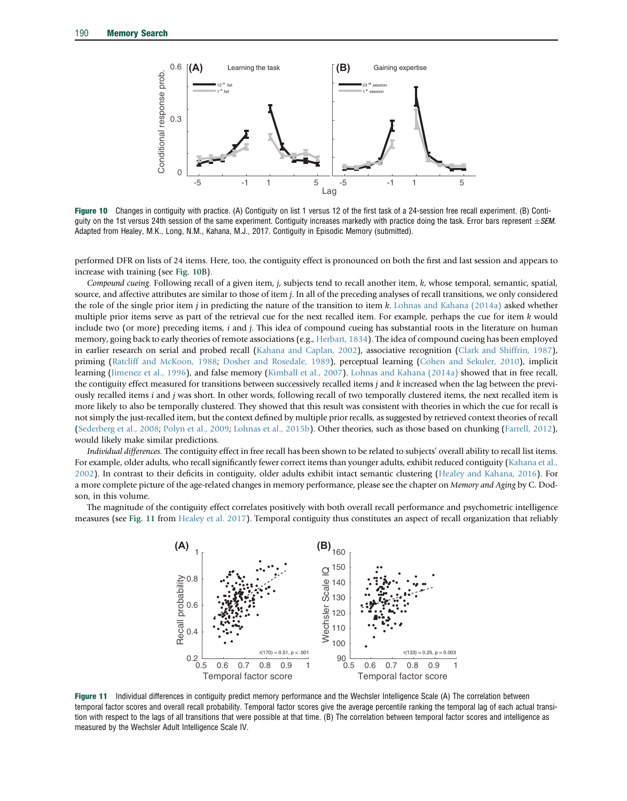<span id="page-9-0"></span>

Figure 10 Changes in contiguity with practice. (A) Contiguity on list 1 versus 12 of the first task of a 24-session free recall experiment. (B) Contiguity on the 1st versus 24th session of the same experiment. Contiguity increases markedly with practice doing the task. Error bars represent  $\pm$  SEM. Adapted from Healey, M.K., Long, N.M., Kahana, M.J., 2017. Contiguity in Episodic Memory (submitted).

performed DFR on lists of 24 items. Here, too, the contiguity effect is pronounced on both the first and last session and appears to increase with training (see Fig. 10B).

Compound cueing. Following recall of a given item,  $j$ , subjects tend to recall another item,  $k$ , whose temporal, semantic, spatial, source, and affective attributes are similar to those of item j. In all of the preceding analyses of recall transitions, we only considered the role of the single prior item j in predicting the nature of the transition to item k. [Lohnas and Kahana \(2014a\)](#page-18-0) asked whether multiple prior items serve as part of the retrieval cue for the next recalled item. For example, perhaps the cue for item k would include two (or more) preceding items, *i* and *j*. This idea of compound cueing has substantial roots in the literature on human memory, going back to early theories of remote associations (e.g., [Herbart, 1834](#page-18-0)). The idea of compound cueing has been employed in earlier research on serial and probed recall ([Kahana and Caplan, 2002\)](#page-18-0), associative recognition ([Clark and Shiffrin, 1987](#page-17-0)), priming ([Ratcliff and McKoon, 1988;](#page-19-0) [Dosher and Rosedale, 1989](#page-18-0)), perceptual learning [\(Cohen and Sekuler, 2010](#page-17-0)), implicit learning ([Jimenez et al., 1996\)](#page-18-0), and false memory ([Kimball et al., 2007\)](#page-18-0). [Lohnas and Kahana \(2014a\)](#page-18-0) showed that in free recall, the contiguity effect measured for transitions between successively recalled items j and k increased when the lag between the previously recalled items i and j was short. In other words, following recall of two temporally clustered items, the next recalled item is more likely to also be temporally clustered. They showed that this result was consistent with theories in which the cue for recall is not simply the just-recalled item, but the context defined by multiple prior recalls, as suggested by retrieved context theories of recall ([Sederberg et al., 2008](#page-19-0); [Polyn et al., 2009;](#page-18-0) [Lohnas et al., 2015b\)](#page-18-0). Other theories, such as those based on chunking [\(Farrell, 2012](#page-18-0)), would likely make similar predictions.

Individual differences. The contiguity effect in free recall has been shown to be related to subjects' overall ability to recall list items. For example, older adults, who recall significantly fewer correct items than younger adults, exhibit reduced contiguity ([Kahana et al.,](#page-18-0) [2002\)](#page-18-0). In contrast to their deficits in contiguity, older adults exhibit intact semantic clustering [\(Healey and Kahana, 2016](#page-18-0)). For a more complete picture of the age-related changes in memory performance, please see the chapter on Memory and Aging by C. Dodson, in this volume.

The magnitude of the contiguity effect correlates positively with both overall recall performance and psychometric intelligence measures (see Fig. 11 from [Healey et al. 2017](#page-18-0)). Temporal contiguity thus constitutes an aspect of recall organization that reliably



Figure 11 Individual differences in contiguity predict memory performance and the Wechsler Intelligence Scale (A) The correlation between temporal factor scores and overall recall probability. Temporal factor scores give the average percentile ranking the temporal lag of each actual transition with respect to the lags of all transitions that were possible at that time. (B) The correlation between temporal factor scores and intelligence as measured by the Wechsler Adult Intelligence Scale IV.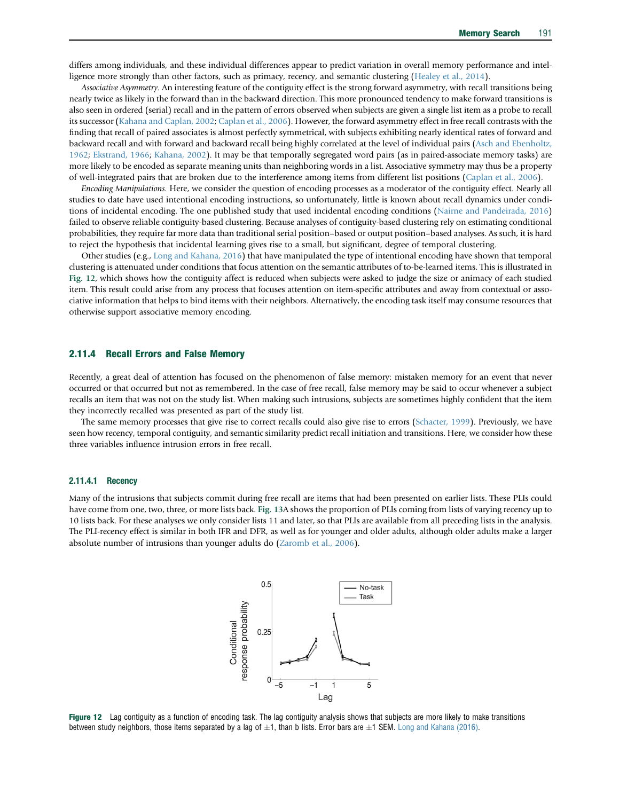differs among individuals, and these individual differences appear to predict variation in overall memory performance and intelligence more strongly than other factors, such as primacy, recency, and semantic clustering ([Healey et al., 2014](#page-18-0)).

Associative Asymmetry. An interesting feature of the contiguity effect is the strong forward asymmetry, with recall transitions being nearly twice as likely in the forward than in the backward direction. This more pronounced tendency to make forward transitions is also seen in ordered (serial) recall and in the pattern of errors observed when subjects are given a single list item as a probe to recall its successor [\(Kahana and Caplan, 2002](#page-18-0); [Caplan et al., 2006\)](#page-17-0). However, the forward asymmetry effect in free recall contrasts with the finding that recall of paired associates is almost perfectly symmetrical, with subjects exhibiting nearly identical rates of forward and backward recall and with forward and backward recall being highly correlated at the level of individual pairs ([Asch and Ebenholtz,](#page-17-0) [1962](#page-17-0); [Ekstrand, 1966;](#page-18-0) [Kahana, 2002](#page-18-0)). It may be that temporally segregated word pairs (as in paired-associate memory tasks) are more likely to be encoded as separate meaning units than neighboring words in a list. Associative symmetry may thus be a property of well-integrated pairs that are broken due to the interference among items from different list positions [\(Caplan et al., 2006\)](#page-17-0).

Encoding Manipulations. Here, we consider the question of encoding processes as a moderator of the contiguity effect. Nearly all studies to date have used intentional encoding instructions, so unfortunately, little is known about recall dynamics under conditions of incidental encoding. The one published study that used incidental encoding conditions [\(Nairne and Pandeirada, 2016\)](#page-18-0) failed to observe reliable contiguity-based clustering. Because analyses of contiguity-based clustering rely on estimating conditional probabilities, they require far more data than traditional serial position–based or output position–based analyses. As such, it is hard to reject the hypothesis that incidental learning gives rise to a small, but significant, degree of temporal clustering.

Other studies (e.g., [Long and Kahana, 2016](#page-18-0)) that have manipulated the type of intentional encoding have shown that temporal clustering is attenuated under conditions that focus attention on the semantic attributes of to-be-learned items. This is illustrated in Fig. 12, which shows how the contiguity affect is reduced when subjects were asked to judge the size or animacy of each studied item. This result could arise from any process that focuses attention on item-specific attributes and away from contextual or associative information that helps to bind items with their neighbors. Alternatively, the encoding task itself may consume resources that otherwise support associative memory encoding.

# 2.11.4 Recall Errors and False Memory

Recently, a great deal of attention has focused on the phenomenon of false memory: mistaken memory for an event that never occurred or that occurred but not as remembered. In the case of free recall, false memory may be said to occur whenever a subject recalls an item that was not on the study list. When making such intrusions, subjects are sometimes highly confident that the item they incorrectly recalled was presented as part of the study list.

The same memory processes that give rise to correct recalls could also give rise to errors [\(Schacter, 1999](#page-19-0)). Previously, we have seen how recency, temporal contiguity, and semantic similarity predict recall initiation and transitions. Here, we consider how these three variables influence intrusion errors in free recall.

## 2.11.4.1 Recency

Many of the intrusions that subjects commit during free recall are items that had been presented on earlier lists. These PLIs could have come from one, two, three, or more lists back. [Fig. 13](#page-11-0)A shows the proportion of PLIs coming from lists of varying recency up to 10 lists back. For these analyses we only consider lists 11 and later, so that PLIs are available from all preceding lists in the analysis. The PLI-recency effect is similar in both IFR and DFR, as well as for younger and older adults, although older adults make a larger absolute number of intrusions than younger adults do [\(Zaromb et al., 2006\)](#page-19-0).



Figure 12 Lag contiguity as a function of encoding task. The lag contiguity analysis shows that subjects are more likely to make transitions between study neighbors, those items separated by a lag of  $\pm 1$ , than b lists. Error bars are  $\pm 1$  SEM. [Long and Kahana \(2016\).](#page-18-0)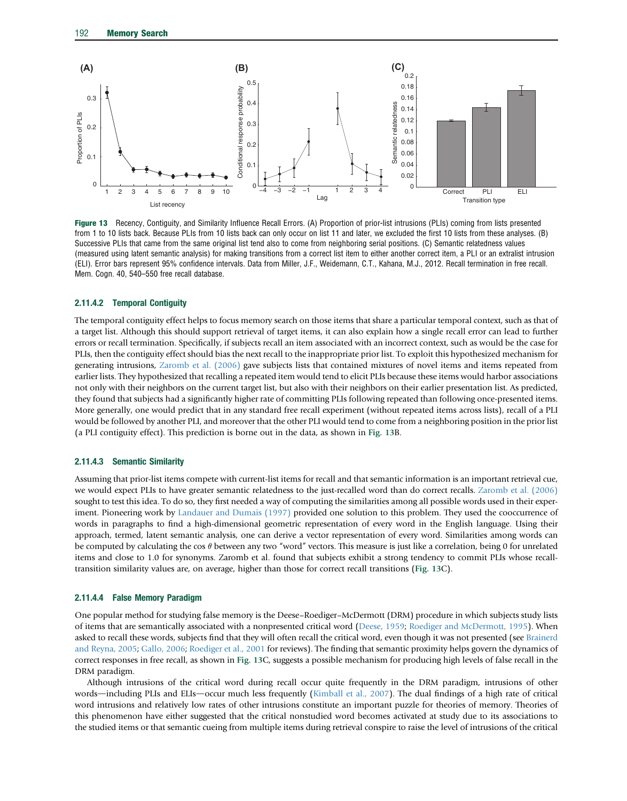<span id="page-11-0"></span>

Figure 13 Recency, Contiguity, and Similarity Influence Recall Errors. (A) Proportion of prior-list intrusions (PLIs) coming from lists presented from 1 to 10 lists back. Because PLIs from 10 lists back can only occur on list 11 and later, we excluded the first 10 lists from these analyses. (B) Successive PLIs that came from the same original list tend also to come from neighboring serial positions. (C) Semantic relatedness values (measured using latent semantic analysis) for making transitions from a correct list item to either another correct item, a PLI or an extralist intrusion (ELI). Error bars represent 95% confidence intervals. Data from Miller, J.F., Weidemann, C.T., Kahana, M.J., 2012. Recall termination in free recall. Mem. Cogn. 40, 540–550 free recall database.

## 2.11.4.2 Temporal Contiguity

The temporal contiguity effect helps to focus memory search on those items that share a particular temporal context, such as that of a target list. Although this should support retrieval of target items, it can also explain how a single recall error can lead to further errors or recall termination. Specifically, if subjects recall an item associated with an incorrect context, such as would be the case for PLIs, then the contiguity effect should bias the next recall to the inappropriate prior list. To exploit this hypothesized mechanism for generating intrusions, [Zaromb et al. \(2006\)](#page-19-0) gave subjects lists that contained mixtures of novel items and items repeated from earlier lists. They hypothesized that recalling a repeated item would tend to elicit PLIs because these items would harbor associations not only with their neighbors on the current target list, but also with their neighbors on their earlier presentation list. As predicted, they found that subjects had a significantly higher rate of committing PLIs following repeated than following once-presented items. More generally, one would predict that in any standard free recall experiment (without repeated items across lists), recall of a PLI would be followed by another PLI, and moreover that the other PLI would tend to come from a neighboring position in the prior list (a PLI contiguity effect). This prediction is borne out in the data, as shown in Fig. 13B.

# 2.11.4.3 Semantic Similarity

Assuming that prior-list items compete with current-list items for recall and that semantic information is an important retrieval cue, we would expect PLIs to have greater semantic relatedness to the just-recalled word than do correct recalls. [Zaromb et al. \(2006\)](#page-19-0) sought to test this idea. To do so, they first needed a way of computing the similarities among all possible words used in their exper-iment. Pioneering work by [Landauer and Dumais \(1997\)](#page-18-0) provided one solution to this problem. They used the cooccurrence of words in paragraphs to find a high-dimensional geometric representation of every word in the English language. Using their approach, termed, latent semantic analysis, one can derive a vector representation of every word. Similarities among words can be computed by calculating the cos  $\theta$  between any two "word" vectors. This measure is just like a correlation, being 0 for unrelated items and close to 1.0 for synonyms. Zaromb et al. found that subjects exhibit a strong tendency to commit PLIs whose recalltransition similarity values are, on average, higher than those for correct recall transitions (Fig. 13C).

#### 2.11.4.4 False Memory Paradigm

One popular method for studying false memory is the Deese–Roediger–McDermott (DRM) procedure in which subjects study lists of items that are semantically associated with a nonpresented critical word [\(Deese, 1959](#page-18-0); [Roediger and McDermott, 1995](#page-19-0)). When asked to recall these words, subjects find that they will often recall the critical word, even though it was not presented (see [Brainerd](#page-17-0) [and Reyna, 2005;](#page-17-0) [Gallo, 2006;](#page-18-0) [Roediger et al., 2001](#page-19-0) for reviews). The finding that semantic proximity helps govern the dynamics of correct responses in free recall, as shown in Fig. 13C, suggests a possible mechanism for producing high levels of false recall in the DRM paradigm.

Although intrusions of the critical word during recall occur quite frequently in the DRM paradigm, intrusions of other words—including PLIs and ELIs—occur much less frequently ([Kimball et al., 2007](#page-18-0)). The dual findings of a high rate of critical word intrusions and relatively low rates of other intrusions constitute an important puzzle for theories of memory. Theories of this phenomenon have either suggested that the critical nonstudied word becomes activated at study due to its associations to the studied items or that semantic cueing from multiple items during retrieval conspire to raise the level of intrusions of the critical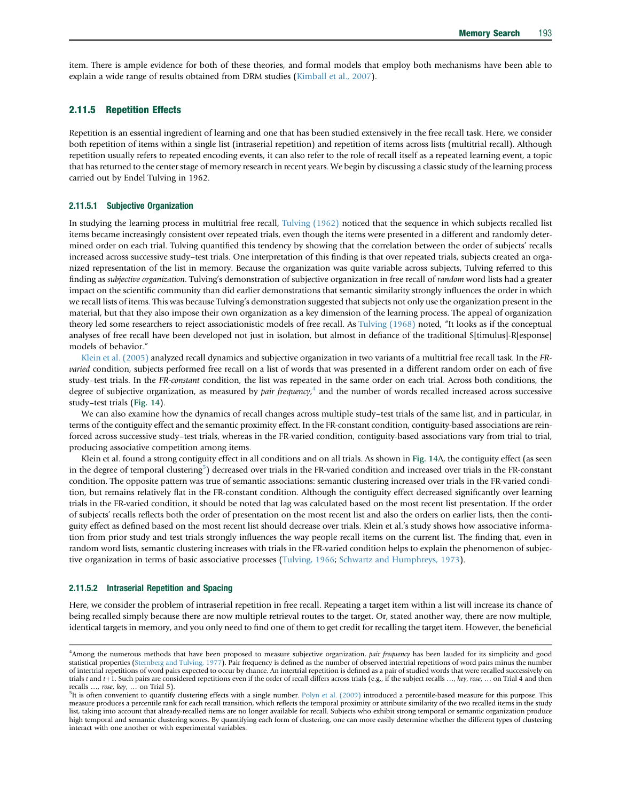item. There is ample evidence for both of these theories, and formal models that employ both mechanisms have been able to explain a wide range of results obtained from DRM studies ([Kimball et al., 2007\)](#page-18-0).

# 2.11.5 Repetition Effects

Repetition is an essential ingredient of learning and one that has been studied extensively in the free recall task. Here, we consider both repetition of items within a single list (intraserial repetition) and repetition of items across lists (multitrial recall). Although repetition usually refers to repeated encoding events, it can also refer to the role of recall itself as a repeated learning event, a topic that has returned to the center stage of memory research in recent years. We begin by discussing a classic study of the learning process carried out by Endel Tulving in 1962.

# 2.11.5.1 Subjective Organization

In studying the learning process in multitrial free recall, [Tulving \(1962\)](#page-19-0) noticed that the sequence in which subjects recalled list items became increasingly consistent over repeated trials, even though the items were presented in a different and randomly determined order on each trial. Tulving quantified this tendency by showing that the correlation between the order of subjects' recalls increased across successive study–test trials. One interpretation of this finding is that over repeated trials, subjects created an organized representation of the list in memory. Because the organization was quite variable across subjects, Tulving referred to this finding as *subjective organization*. Tulving's demonstration of subjective organization in free recall of *random* word lists had a greater impact on the scientific community than did earlier demonstrations that semantic similarity strongly influences the order in which we recall lists of items. This was because Tulving's demonstration suggested that subjects not only use the organization present in the material, but that they also impose their own organization as a key dimension of the learning process. The appeal of organization theory led some researchers to reject associationistic models of free recall. As [Tulving \(1968\)](#page-19-0) noted, "It looks as if the conceptual analyses of free recall have been developed not just in isolation, but almost in defiance of the traditional S[timulus]-R[esponse] models of behavior."

[Klein et al. \(2005\)](#page-18-0) analyzed recall dynamics and subjective organization in two variants of a multitrial free recall task. In the FRvaried condition, subjects performed free recall on a list of words that was presented in a different random order on each of five study–test trials. In the FR-constant condition, the list was repeated in the same order on each trial. Across both conditions, the degree of subjective organization, as measured by *pair frequency*,<sup>4</sup> and the number of words recalled increased across successive study–test trials ([Fig. 14](#page-13-0)).

We can also examine how the dynamics of recall changes across multiple study–test trials of the same list, and in particular, in terms of the contiguity effect and the semantic proximity effect. In the FR-constant condition, contiguity-based associations are reinforced across successive study–test trials, whereas in the FR-varied condition, contiguity-based associations vary from trial to trial, producing associative competition among items.

Klein et al. found a strong contiguity effect in all conditions and on all trials. As shown in [Fig. 14](#page-13-0)A, the contiguity effect (as seen in the degree of temporal clustering<sup>5</sup>) decreased over trials in the FR-varied condition and increased over trials in the FR-constant condition. The opposite pattern was true of semantic associations: semantic clustering increased over trials in the FR-varied condition, but remains relatively flat in the FR-constant condition. Although the contiguity effect decreased significantly over learning trials in the FR-varied condition, it should be noted that lag was calculated based on the most recent list presentation. If the order of subjects' recalls reflects both the order of presentation on the most recent list and also the orders on earlier lists, then the contiguity effect as defined based on the most recent list should decrease over trials. Klein et al.'s study shows how associative information from prior study and test trials strongly influences the way people recall items on the current list. The finding that, even in random word lists, semantic clustering increases with trials in the FR-varied condition helps to explain the phenomenon of subjective organization in terms of basic associative processes ([Tulving, 1966;](#page-19-0) [Schwartz and Humphreys, 1973](#page-19-0)).

#### 2.11.5.2 Intraserial Repetition and Spacing

Here, we consider the problem of intraserial repetition in free recall. Repeating a target item within a list will increase its chance of being recalled simply because there are now multiple retrieval routes to the target. Or, stated another way, there are now multiple, identical targets in memory, and you only need to find one of them to get credit for recalling the target item. However, the beneficial

<sup>&</sup>lt;sup>4</sup>Among the numerous methods that have been proposed to measure subjective organization, pair frequency has been lauded for its simplicity and good statistical properties ([Sternberg and Tulving, 1977\)](#page-19-0). Pair frequency is defined as the number of observed intertrial repetitions of word pairs minus the number of intertrial repetitions of word pairs expected to occur by chance. An intertrial repetition is defined as a pair of studied words that were recalled successively on trials t and  $t+1$ . Such pairs are considered repetitions even if the order of recall differs across trials (e.g., if the subject recalls ..., key, rose, ... on Trial 4 and then recalls ..., *rose, key, .*.. on Trial 5).<br><sup>5</sup>It is often convenient to quantify clustering effects with a single number. [Polyn et al. \(2009\)](#page-18-0) introduced a percentile-based measure for this purpose. This

measure produces a percentile rank for each recall transition, which reflects the temporal proximity or attribute similarity of the two recalled items in the study list, taking into account that already-recalled items are no longer available for recall. Subjects who exhibit strong temporal or semantic organization produce high temporal and semantic clustering scores. By quantifying each form of clustering, one can more easily determine whether the different types of clustering interact with one another or with experimental variables.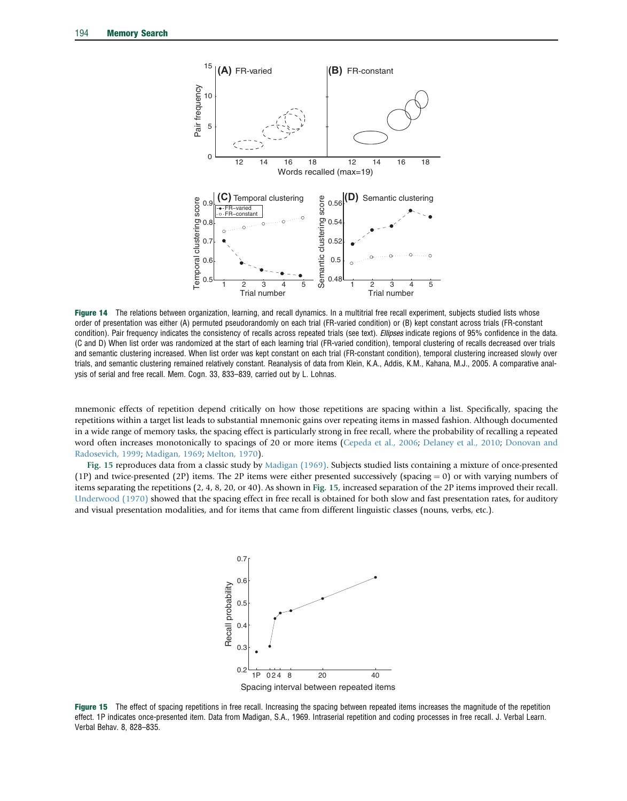<span id="page-13-0"></span>

Figure 14 The relations between organization, learning, and recall dynamics. In a multitrial free recall experiment, subjects studied lists whose order of presentation was either (A) permuted pseudorandomly on each trial (FR-varied condition) or (B) kept constant across trials (FR-constant condition). Pair frequency indicates the consistency of recalls across repeated trials (see text). Ellipses indicate regions of 95% confidence in the data. (C and D) When list order was randomized at the start of each learning trial (FR-varied condition), temporal clustering of recalls decreased over trials and semantic clustering increased. When list order was kept constant on each trial (FR-constant condition), temporal clustering increased slowly over trials, and semantic clustering remained relatively constant. Reanalysis of data from Klein, K.A., Addis, K.M., Kahana, M.J., 2005. A comparative analysis of serial and free recall. Mem. Cogn. 33, 833–839, carried out by L. Lohnas.

mnemonic effects of repetition depend critically on how those repetitions are spacing within a list. Specifically, spacing the repetitions within a target list leads to substantial mnemonic gains over repeating items in massed fashion. Although documented in a wide range of memory tasks, the spacing effect is particularly strong in free recall, where the probability of recalling a repeated word often increases monotonically to spacings of 20 or more items ([Cepeda et al., 2006](#page-17-0); [Delaney et al., 2010](#page-18-0); [Donovan and](#page-18-0) [Radosevich, 1999;](#page-18-0) [Madigan, 1969](#page-18-0); [Melton, 1970\)](#page-18-0).

Fig. 15 reproduces data from a classic study by [Madigan \(1969\).](#page-18-0) Subjects studied lists containing a mixture of once-presented (1P) and twice-presented (2P) items. The 2P items were either presented successively (spacing  $= 0$ ) or with varying numbers of items separating the repetitions (2, 4, 8, 20, or 40). As shown in Fig. 15, increased separation of the 2P items improved their recall. [Underwood \(1970\)](#page-19-0) showed that the spacing effect in free recall is obtained for both slow and fast presentation rates, for auditory and visual presentation modalities, and for items that came from different linguistic classes (nouns, verbs, etc.).



Figure 15 The effect of spacing repetitions in free recall. Increasing the spacing between repeated items increases the magnitude of the repetition effect. 1P indicates once-presented item. Data from Madigan, S.A., 1969. Intraserial repetition and coding processes in free recall. J. Verbal Learn. Verbal Behav. 8, 828–835.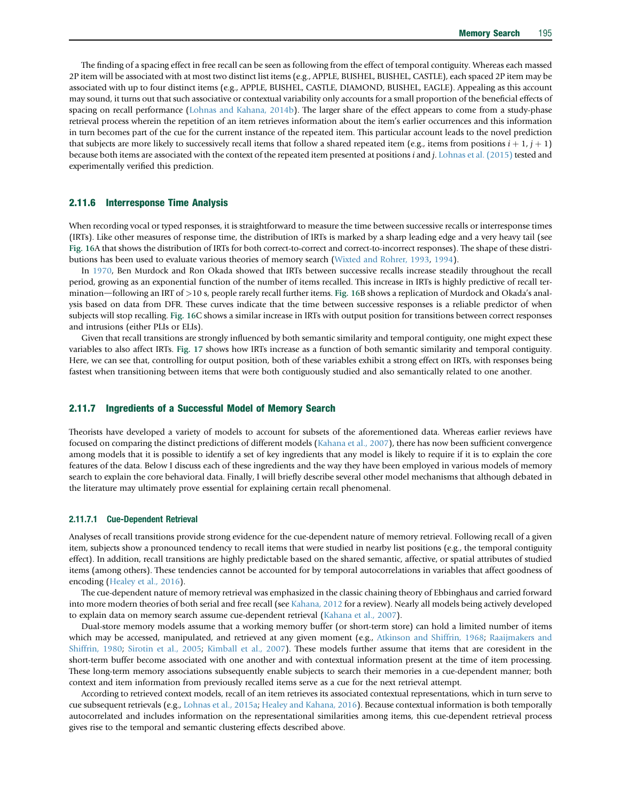The finding of a spacing effect in free recall can be seen as following from the effect of temporal contiguity. Whereas each massed 2P item will be associated with at most two distinct list items (e.g., APPLE, BUSHEL, BUSHEL, CASTLE), each spaced 2P item may be associated with up to four distinct items (e.g., APPLE, BUSHEL, CASTLE, DIAMOND, BUSHEL, EAGLE). Appealing as this account may sound, it turns out that such associative or contextual variability only accounts for a small proportion of the beneficial effects of spacing on recall performance ([Lohnas and Kahana, 2014b\)](#page-18-0). The larger share of the effect appears to come from a study-phase retrieval process wherein the repetition of an item retrieves information about the item's earlier occurrences and this information in turn becomes part of the cue for the current instance of the repeated item. This particular account leads to the novel prediction that subjects are more likely to successively recall items that follow a shared repeated item (e.g., items from positions  $i + 1$ ,  $j + 1$ ) because both items are associated with the context of the repeated item presented at positions i and j. [Lohnas et al. \(2015\)](#page-18-0) tested and experimentally verified this prediction.

# 2.11.6 Interresponse Time Analysis

When recording vocal or typed responses, it is straightforward to measure the time between successive recalls or interresponse times (IRTs). Like other measures of response time, the distribution of IRTs is marked by a sharp leading edge and a very heavy tail (see [Fig. 16](#page-15-0)A that shows the distribution of IRTs for both correct-to-correct and correct-to-incorrect responses). The shape of these distributions has been used to evaluate various theories of memory search ([Wixted and Rohrer, 1993](#page-19-0), [1994\)](#page-19-0).

In [1970](#page-18-0), Ben Murdock and Ron Okada showed that IRTs between successive recalls increase steadily throughout the recall period, growing as an exponential function of the number of items recalled. This increase in IRTs is highly predictive of recall ter-mination—following an IRT of >10 s, people rarely recall further items. [Fig. 16](#page-15-0)B shows a replication of Murdock and Okada's analysis based on data from DFR. These curves indicate that the time between successive responses is a reliable predictor of when subjects will stop recalling. [Fig. 16](#page-15-0)C shows a similar increase in IRTs with output position for transitions between correct responses and intrusions (either PLIs or ELIs).

Given that recall transitions are strongly influenced by both semantic similarity and temporal contiguity, one might expect these variables to also affect IRTs. [Fig. 17](#page-16-0) shows how IRTs increase as a function of both semantic similarity and temporal contiguity. Here, we can see that, controlling for output position, both of these variables exhibit a strong effect on IRTs, with responses being fastest when transitioning between items that were both contiguously studied and also semantically related to one another.

# 2.11.7 Ingredients of a Successful Model of Memory Search

Theorists have developed a variety of models to account for subsets of the aforementioned data. Whereas earlier reviews have focused on comparing the distinct predictions of different models [\(Kahana et al., 2007\)](#page-18-0), there has now been sufficient convergence among models that it is possible to identify a set of key ingredients that any model is likely to require if it is to explain the core features of the data. Below I discuss each of these ingredients and the way they have been employed in various models of memory search to explain the core behavioral data. Finally, I will briefly describe several other model mechanisms that although debated in the literature may ultimately prove essential for explaining certain recall phenomenal.

#### 2.11.7.1 Cue-Dependent Retrieval

Analyses of recall transitions provide strong evidence for the cue-dependent nature of memory retrieval. Following recall of a given item, subjects show a pronounced tendency to recall items that were studied in nearby list positions (e.g., the temporal contiguity effect). In addition, recall transitions are highly predictable based on the shared semantic, affective, or spatial attributes of studied items (among others). These tendencies cannot be accounted for by temporal autocorrelations in variables that affect goodness of encoding ([Healey et al., 2016\)](#page-18-0).

The cue-dependent nature of memory retrieval was emphasized in the classic chaining theory of Ebbinghaus and carried forward into more modern theories of both serial and free recall (see [Kahana, 2012](#page-18-0) for a review). Nearly all models being actively developed to explain data on memory search assume cue-dependent retrieval [\(Kahana et al., 2007](#page-18-0)).

Dual-store memory models assume that a working memory buffer (or short-term store) can hold a limited number of items which may be accessed, manipulated, and retrieved at any given moment (e.g., [Atkinson and Shiffrin, 1968;](#page-17-0) [Raaijmakers and](#page-19-0) [Shiffrin, 1980](#page-19-0); [Sirotin et al., 2005;](#page-19-0) [Kimball et al., 2007\)](#page-18-0). These models further assume that items that are coresident in the short-term buffer become associated with one another and with contextual information present at the time of item processing. These long-term memory associations subsequently enable subjects to search their memories in a cue-dependent manner; both context and item information from previously recalled items serve as a cue for the next retrieval attempt.

According to retrieved context models, recall of an item retrieves its associated contextual representations, which in turn serve to cue subsequent retrievals (e.g., [Lohnas et al., 2015a;](#page-18-0) [Healey and Kahana, 2016\)](#page-18-0). Because contextual information is both temporally autocorrelated and includes information on the representational similarities among items, this cue-dependent retrieval process gives rise to the temporal and semantic clustering effects described above.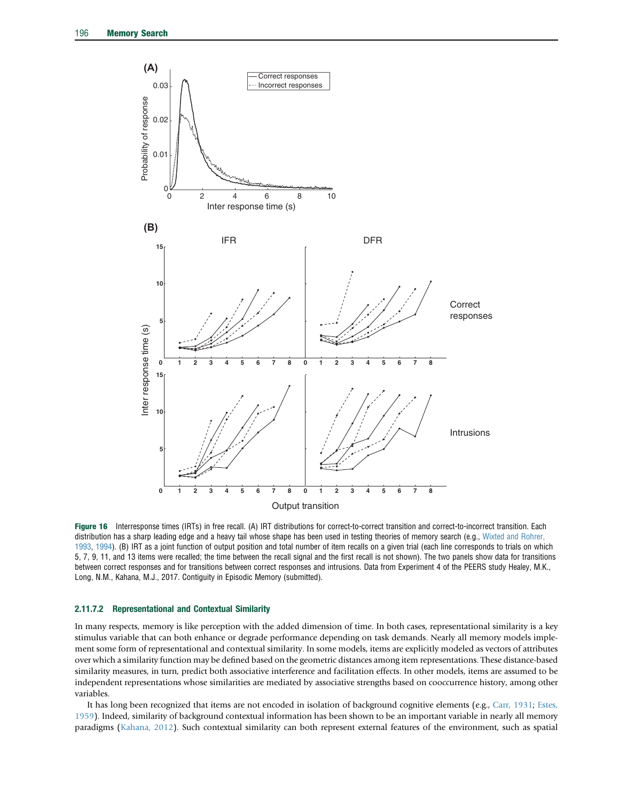<span id="page-15-0"></span>

Figure 16 Interresponse times (IRTs) in free recall. (A) IRT distributions for correct-to-correct transition and correct-to-incorrect transition. Each distribution has a sharp leading edge and a heavy tail whose shape has been used in testing theories of memory search (e.g., [Wixted and Rohrer,](#page-19-0) [1993](#page-19-0), [1994](#page-19-0)). (B) IRT as a joint function of output position and total number of item recalls on a given trial (each line corresponds to trials on which 5, 7, 9, 11, and 13 items were recalled; the time between the recall signal and the first recall is not shown). The two panels show data for transitions between correct responses and for transitions between correct responses and intrusions. Data from Experiment 4 of the PEERS study Healey, M.K., Long, N.M., Kahana, M.J., 2017. Contiguity in Episodic Memory (submitted).

## 2.11.7.2 Representational and Contextual Similarity

In many respects, memory is like perception with the added dimension of time. In both cases, representational similarity is a key stimulus variable that can both enhance or degrade performance depending on task demands. Nearly all memory models implement some form of representational and contextual similarity. In some models, items are explicitly modeled as vectors of attributes over which a similarity function may be defined based on the geometric distances among item representations. These distance-based similarity measures, in turn, predict both associative interference and facilitation effects. In other models, items are assumed to be independent representations whose similarities are mediated by associative strengths based on cooccurrence history, among other variables.

It has long been recognized that items are not encoded in isolation of background cognitive elements (e.g., [Carr, 1931](#page-17-0); [Estes,](#page-18-0) [1959\)](#page-18-0). Indeed, similarity of background contextual information has been shown to be an important variable in nearly all memory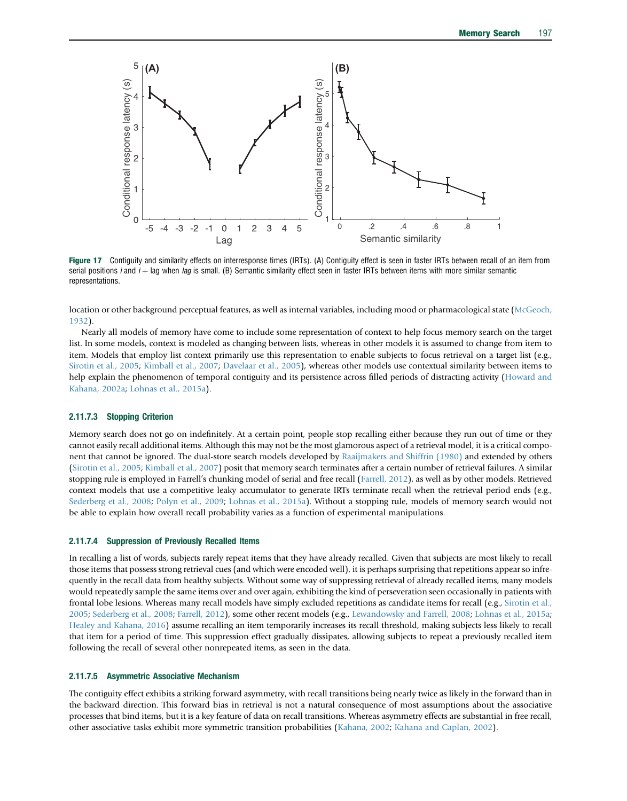<span id="page-16-0"></span>

Figure 17 Contiguity and similarity effects on interresponse times (IRTs). (A) Contiguity effect is seen in faster IRTs between recall of an item from serial positions i and i + lag when lag is small. (B) Semantic similarity effect seen in faster IRTs between items with more similar semantic representations.

location or other background perceptual features, as well as internal variables, including mood or pharmacological state ([McGeoch,](#page-18-0) [1932](#page-18-0)).

Nearly all models of memory have come to include some representation of context to help focus memory search on the target list. In some models, context is modeled as changing between lists, whereas in other models it is assumed to change from item to item. Models that employ list context primarily use this representation to enable subjects to focus retrieval on a target list (e.g., [Sirotin et al., 2005;](#page-19-0) [Kimball et al., 2007](#page-18-0); [Davelaar et al., 2005\)](#page-18-0), whereas other models use contextual similarity between items to help explain the phenomenon of temporal contiguity and its persistence across filled periods of distracting activity [\(Howard and](#page-18-0) [Kahana, 2002a](#page-18-0); [Lohnas et al., 2015a\)](#page-18-0).

#### 2.11.7.3 Stopping Criterion

Memory search does not go on indefinitely. At a certain point, people stop recalling either because they run out of time or they cannot easily recall additional items. Although this may not be the most glamorous aspect of a retrieval model, it is a critical component that cannot be ignored. The dual-store search models developed by [Raaijmakers and Shiffrin \(1980\)](#page-19-0) and extended by others ([Sirotin et al., 2005;](#page-19-0) [Kimball et al., 2007](#page-18-0)) posit that memory search terminates after a certain number of retrieval failures. A similar stopping rule is employed in Farrell's chunking model of serial and free recall ([Farrell, 2012](#page-18-0)), as well as by other models. Retrieved context models that use a competitive leaky accumulator to generate IRTs terminate recall when the retrieval period ends (e.g., [Sederberg et al., 2008;](#page-19-0) [Polyn et al., 2009;](#page-18-0) [Lohnas et al., 2015a\)](#page-18-0). Without a stopping rule, models of memory search would not be able to explain how overall recall probability varies as a function of experimental manipulations.

#### 2.11.7.4 Suppression of Previously Recalled Items

In recalling a list of words, subjects rarely repeat items that they have already recalled. Given that subjects are most likely to recall those items that possess strong retrieval cues (and which were encoded well), it is perhaps surprising that repetitions appear so infrequently in the recall data from healthy subjects. Without some way of suppressing retrieval of already recalled items, many models would repeatedly sample the same items over and over again, exhibiting the kind of perseveration seen occasionally in patients with frontal lobe lesions. Whereas many recall models have simply excluded repetitions as candidate items for recall (e.g., [Sirotin et al.,](#page-19-0) [2005](#page-19-0); [Sederberg et al., 2008;](#page-19-0) [Farrell, 2012](#page-18-0)), some other recent models (e.g., [Lewandowsky and Farrell, 2008](#page-18-0); [Lohnas et al., 2015a](#page-18-0); [Healey and Kahana, 2016\)](#page-18-0) assume recalling an item temporarily increases its recall threshold, making subjects less likely to recall that item for a period of time. This suppression effect gradually dissipates, allowing subjects to repeat a previously recalled item following the recall of several other nonrepeated items, as seen in the data.

## 2.11.7.5 Asymmetric Associative Mechanism

The contiguity effect exhibits a striking forward asymmetry, with recall transitions being nearly twice as likely in the forward than in the backward direction. This forward bias in retrieval is not a natural consequence of most assumptions about the associative processes that bind items, but it is a key feature of data on recall transitions. Whereas asymmetry effects are substantial in free recall,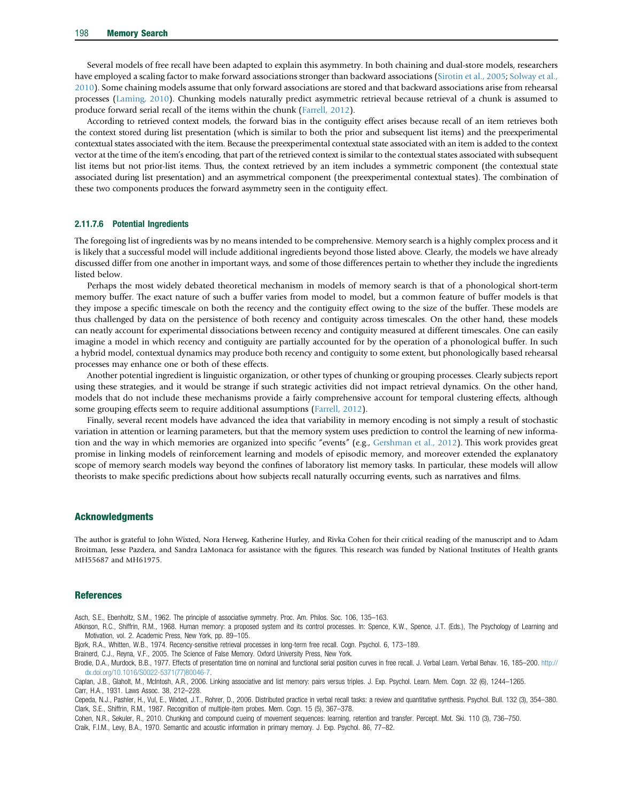<span id="page-17-0"></span>Several models of free recall have been adapted to explain this asymmetry. In both chaining and dual-store models, researchers have employed a scaling factor to make forward associations stronger than backward associations ([Sirotin et al., 2005;](#page-19-0) [Solway et al.,](#page-19-0) [2010\)](#page-19-0). Some chaining models assume that only forward associations are stored and that backward associations arise from rehearsal processes ([Laming, 2010\)](#page-18-0). Chunking models naturally predict asymmetric retrieval because retrieval of a chunk is assumed to produce forward serial recall of the items within the chunk [\(Farrell, 2012](#page-18-0)).

According to retrieved context models, the forward bias in the contiguity effect arises because recall of an item retrieves both the context stored during list presentation (which is similar to both the prior and subsequent list items) and the preexperimental contextual states associated with the item. Because the preexperimental contextual state associated with an item is added to the context vector at the time of the item's encoding, that part of the retrieved context is similar to the contextual states associated with subsequent list items but not prior-list items. Thus, the context retrieved by an item includes a symmetric component (the contextual state associated during list presentation) and an asymmetrical component (the preexperimental contextual states). The combination of these two components produces the forward asymmetry seen in the contiguity effect.

## 2.11.7.6 Potential Ingredients

The foregoing list of ingredients was by no means intended to be comprehensive. Memory search is a highly complex process and it is likely that a successful model will include additional ingredients beyond those listed above. Clearly, the models we have already discussed differ from one another in important ways, and some of those differences pertain to whether they include the ingredients listed below.

Perhaps the most widely debated theoretical mechanism in models of memory search is that of a phonological short-term memory buffer. The exact nature of such a buffer varies from model to model, but a common feature of buffer models is that they impose a specific timescale on both the recency and the contiguity effect owing to the size of the buffer. These models are thus challenged by data on the persistence of both recency and contiguity across timescales. On the other hand, these models can neatly account for experimental dissociations between recency and contiguity measured at different timescales. One can easily imagine a model in which recency and contiguity are partially accounted for by the operation of a phonological buffer. In such a hybrid model, contextual dynamics may produce both recency and contiguity to some extent, but phonologically based rehearsal processes may enhance one or both of these effects.

Another potential ingredient is linguistic organization, or other types of chunking or grouping processes. Clearly subjects report using these strategies, and it would be strange if such strategic activities did not impact retrieval dynamics. On the other hand, models that do not include these mechanisms provide a fairly comprehensive account for temporal clustering effects, although some grouping effects seem to require additional assumptions [\(Farrell, 2012\)](#page-18-0).

Finally, several recent models have advanced the idea that variability in memory encoding is not simply a result of stochastic variation in attention or learning parameters, but that the memory system uses prediction to control the learning of new information and the way in which memories are organized into specific "events" (e.g., [Gershman et al., 2012](#page-18-0)). This work provides great promise in linking models of reinforcement learning and models of episodic memory, and moreover extended the explanatory scope of memory search models way beyond the confines of laboratory list memory tasks. In particular, these models will allow theorists to make specific predictions about how subjects recall naturally occurring events, such as narratives and films.

## Acknowledgments

The author is grateful to John Wixted, Nora Herweg, Katherine Hurley, and Rivka Cohen for their critical reading of the manuscript and to Adam Broitman, Jesse Pazdera, and Sandra LaMonaca for assistance with the figures. This research was funded by National Institutes of Health grants MH55687 and MH61975.

#### References

Asch, S.E., Ebenholtz, S.M., 1962. The principle of associative symmetry. Proc. Am. Philos. Soc. 106, 135–163.

Atkinson, R.C., Shiffrin, R.M., 1968. Human memory: a proposed system and its control processes. In: Spence, K.W., Spence, J.T. (Eds.), The Psychology of Learning and Motivation, vol. 2. Academic Press, New York, pp. 89–105.

Bjork, R.A., Whitten, W.B., 1974. Recency-sensitive retrieval processes in long-term free recall. Cogn. Psychol. 6, 173–189.

Brainerd, C.J., Reyna, V.F., 2005. The Science of False Memory. Oxford University Press, New York.

Brodie, D.A., Murdock, B.B., 1977. Effects of presentation time on nominal and functional serial position curves in free recall. J. Verbal Learn. Verbal Behav. 16, 185–200. [http://](http://dx.doi.org/10.1016/S0022-5371(77)80046-7) [dx.doi.org/10.1016/S0022-5371\(77\)80046-7](http://dx.doi.org/10.1016/S0022-5371(77)80046-7).

Caplan, J.B., Glaholt, M., McIntosh, A.R., 2006. Linking associative and list memory: pairs versus triples. J. Exp. Psychol. Learn. Mem. Cogn. 32 (6), 1244–1265. Carr, H.A., 1931. Laws Assoc. 38, 212–228.

Cepeda, N.J., Pashler, H., Vul, E., Wixted, J.T., Rohrer, D., 2006. Distributed practice in verbal recall tasks: a review and quantitative synthesis. Psychol. Bull. 132 (3), 354–380. Clark, S.E., Shiffrin, R.M., 1987. Recognition of multiple-item probes. Mem. Cogn. 15 (5), 367–378.

Cohen, N.R., Sekuler, R., 2010. Chunking and compound cueing of movement sequences: learning, retention and transfer. Percept. Mot. Ski. 110 (3), 736–750.

Craik, F.I.M., Levy, B.A., 1970. Semantic and acoustic information in primary memory. J. Exp. Psychol. 86, 77–82.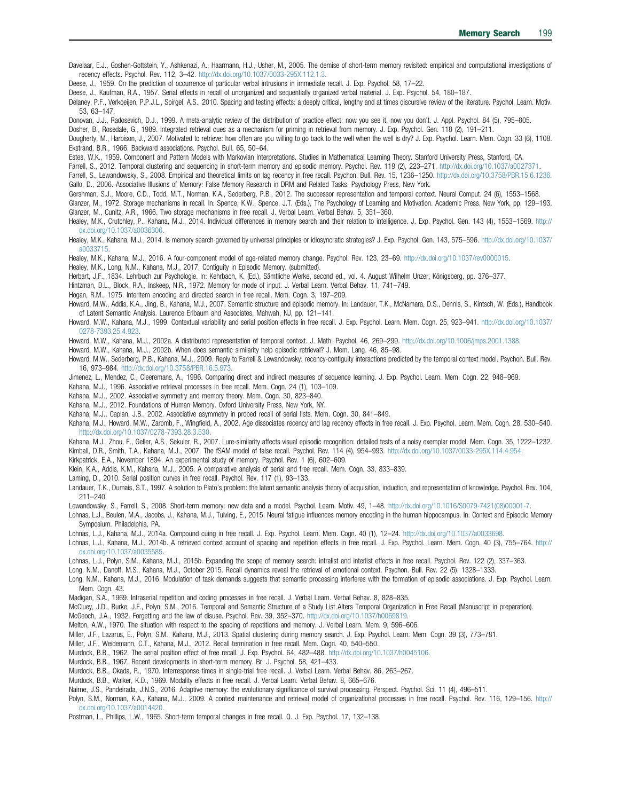- <span id="page-18-0"></span>Davelaar, E.J., Goshen-Gottstein, Y., Ashkenazi, A., Haarmann, H.J., Usher, M., 2005. The demise of short-term memory revisited: empirical and computational investigations of recency effects. Psychol. Rev. 112, 3–42. <http://dx.doi.org/10.1037/0033-295X.112.1.3>.
- Deese, J., 1959. On the prediction of occurrence of particular verbal intrusions in immediate recall. J. Exp. Psychol. 58, 17–22.
- Deese, J., Kaufman, R.A., 1957. Serial effects in recall of unorganized and sequentially organized verbal material. J. Exp. Psychol. 54, 180–187.
- Delaney, P.F., Verkoeijen, P.P.J.L., Spirgel, A.S., 2010. Spacing and testing effects: a deeply critical, lengthy and at times discursive review of the literature. Psychol. Learn. Motiv. 53, 63–147.
- Donovan, J.J., Radosevich, D.J., 1999. A meta-analytic review of the distribution of practice effect: now you see it, now you don't. J. Appl. Psychol. 84 (5), 795–805.
- Dosher, B., Rosedale, G., 1989. Integrated retrieval cues as a mechanism for priming in retrieval from memory. J. Exp. Psychol. Gen. 118 (2), 191–211.
- Dougherty, M., Harbison, J., 2007. Motivated to retrieve: how often are you willing to go back to the well when the well is dry? J. Exp. Psychol. Learn. Mem. Cogn. 33 (6), 1108. Ekstrand, B.R., 1966. Backward associations. Psychol. Bull. 65, 50–64.
- Estes, W.K., 1959. Component and Pattern Models with Markovian Interpretations. Studies in Mathematical Learning Theory. Stanford University Press, Stanford, CA.
- Farrell, S., 2012. Temporal clustering and sequencing in short-term memory and episodic memory. Psychol. Rev. 119 (2), 223–271. [http://dx.doi.org/10.1037/a0027371.](http://dx.doi.org/10.1037/a0027371) Farrell, S., Lewandowsky, S., 2008. Empirical and theoretical limits on lag recency in free recall. Psychon. Bull. Rev. 15, 1236–1250. <http://dx.doi.org/10.3758/PBR.15.6.1236>. Gallo, D., 2006. Associative Illusions of Memory: False Memory Research in DRM and Related Tasks. Psychology Press, New York.
- Gershman, S.J., Moore, C.D., Todd, M.T., Norman, K.A., Sederberg, P.B., 2012. The successor representation and temporal context. Neural Comput. 24 (6), 1553–1568.
- Glanzer, M., 1972. Storage mechanisms in recall. In: Spence, K.W., Spence, J.T. (Eds.), The Psychology of Learning and Motivation. Academic Press, New York, pp. 129–193. Glanzer, M., Cunitz, A.R., 1966. Two storage mechanisms in free recall. J. Verbal Learn. Verbal Behav. 5, 351–360.
- Healey, M.K., Crutchley, P., Kahana, M.J., 2014. Individual differences in memory search and their relation to intelligence. J. Exp. Psychol. Gen. 143 (4), 1553-1569. [http://](http://dx.doi.org/10.1037/a0036306) [dx.doi.org/10.1037/a0036306.](http://dx.doi.org/10.1037/a0036306)
- Healey, M.K., Kahana, M.J., 2014. Is memory search governed by universal principles or idiosyncratic strategies? J. Exp. Psychol. Gen. 143, 575–596. [http://dx.doi.org/10.1037/](http://dx.doi.org/10.1037/a0033715) [a0033715.](http://dx.doi.org/10.1037/a0033715)
- Healey, M.K., Kahana, M.J., 2016. A four-component model of age-related memory change. Psychol. Rev. 123, 23–69. [http://dx.doi.org/10.1037/rev0000015.](http://dx.doi.org/10.1037/rev0000015)
- Healey, M.K., Long, N.M., Kahana, M.J., 2017. Contiguity in Episodic Memory. (submitted).
- Herbart, J.F., 1834. Lehrbuch zur Psychologie. In: Kehrbach, K. (Ed.), Sämtliche Werke, second ed., vol. 4. August Wilhelm Unzer, Königsberg, pp. 376–377.
- Hintzman, D.L., Block, R.A., Inskeep, N.R., 1972. Memory for mode of input. J. Verbal Learn. Verbal Behav. 11, 741–749.
- Hogan, R.M., 1975. Interitem encoding and directed search in free recall. Mem. Cogn. 3, 197–209.
- Howard, M.W., Addis, K.A., Jing, B., Kahana, M.J., 2007. Semantic structure and episodic memory. In: Landauer, T.K., McNamara, D.S., Dennis, S., Kintsch, W. (Eds.), Handbook of Latent Semantic Analysis. Laurence Erlbaum and Associates, Mahwah, NJ, pp. 121–141.
- Howard, M.W., Kahana, M.J., 1999. Contextual variability and serial position effects in free recall. J. Exp. Psychol. Learn. Mem. Cogn. 25, 923-941. [http://dx.doi.org/10.1037/](http://dx.doi.org/10.1037/0278-7393.25.4.923) [0278-7393.25.4.923](http://dx.doi.org/10.1037/0278-7393.25.4.923).
- Howard, M.W., Kahana, M.J., 2002a. A distributed representation of temporal context. J. Math. Psychol. 46, 269–299. [http://dx.doi.org/10.1006/jmps.2001.1388.](http://dx.doi.org/10.1006/jmps.2001.1388)
- Howard, M.W., Kahana, M.J., 2002b. When does semantic similarity help episodic retrieval? J. Mem. Lang. 46, 85–98.
- Howard, M.W., Sederberg, P.B., Kahana, M.J., 2009. Reply to Farrell & Lewandowsky: recency-contiguity interactions predicted by the temporal context model. Psychon. Bull. Rev. 16, 973–984. <http://dx.doi.org/10.3758/PBR.16.5.973>.
- Jimenez, L., Mendez, C., Cleeremans, A., 1996. Comparing direct and indirect measures of sequence learning. J. Exp. Psychol. Learn. Mem. Cogn. 22, 948–969.
- Kahana, M.J., 1996. Associative retrieval processes in free recall. Mem. Cogn. 24 (1), 103–109.
- Kahana, M.J., 2002. Associative symmetry and memory theory. Mem. Cogn. 30, 823–840.
- Kahana, M.J., 2012. Foundations of Human Memory. Oxford University Press, New York, NY.
- Kahana, M.J., Caplan, J.B., 2002. Associative asymmetry in probed recall of serial lists. Mem. Cogn. 30, 841–849.
- Kahana, M.J., Howard, M.W., Zaromb, F., Wingfield, A., 2002. Age dissociates recency and lag recency effects in free recall. J. Exp. Psychol. Learn. Mem. Cogn. 28, 530-540. <http://dx.doi.org/10.1037/0278-7393.28.3.530>.
- Kahana, M.J., Zhou, F., Geller, A.S., Sekuler, R., 2007. Lure-similarity affects visual episodic recognition: detailed tests of a noisy exemplar model. Mem. Cogn. 35, 1222–1232. Kimball, D.R., Smith, T.A., Kahana, M.J., 2007. The fSAM model of false recall. Psychol. Rev. 114 (4), 954–993. [http://dx.doi.org/10.1037/0033-295X.114.4.954.](http://dx.doi.org/10.1037/0033-295X.114.4.954)
- Kirkpatrick, E.A., November 1894. An experimental study of memory. Psychol. Rev. 1 (6), 602–609.
- Klein, K.A., Addis, K.M., Kahana, M.J., 2005. A comparative analysis of serial and free recall. Mem. Cogn. 33, 833–839.
- Laming, D., 2010. Serial position curves in free recall. Psychol. Rev. 117 (1), 93–133.
- Landauer, T.K., Dumais, S.T., 1997. A solution to Plato's problem: the latent semantic analysis theory of acquisition, induction, and representation of knowledge. Psychol. Rev. 104, 211–240.
- Lewandowsky, S., Farrell, S., 2008. Short-term memory: new data and a model. Psychol. Learn. Motiv. 49, 1–48. [http://dx.doi.org/10.1016/S0079-7421\(08\)00001-7](http://dx.doi.org/10.1016/S0079-7421(08)00001-7).
- Lohnas, L.J., Beulen, M.A., Jacobs, J., Kahana, M.J., Tulving, E., 2015. Neural fatigue influences memory encoding in the human hippocampus. In: Context and Episodic Memory Symposium. Philadelphia, PA.
- Lohnas, L.J., Kahana, M.J., 2014a. Compound cuing in free recall. J. Exp. Psychol. Learn. Mem. Cogn. 40 (1), 12–24. <http://dx.doi.org/10.1037/a0033698>.
- Lohnas, L.J., Kahana, M.J., 2014b. A retrieved context account of spacing and repetition effects in free recall. J. Exp. Psychol. Learn. Mem. Cogn. 40 (3), 755–764. [http://](http://dx.doi.org/10.1037/a0035585) [dx.doi.org/10.1037/a0035585.](http://dx.doi.org/10.1037/a0035585)
- Lohnas, L.J., Polyn, S.M., Kahana, M.J., 2015b. Expanding the scope of memory search: intralist and interlist effects in free recall. Psychol. Rev. 122 (2), 337–363.
- Long, N.M., Danoff, M.S., Kahana, M.J., October 2015. Recall dynamics reveal the retrieval of emotional context. Psychon. Bull. Rev. 22 (5), 1328–1333.
- Long, N.M., Kahana, M.J., 2016. Modulation of task demands suggests that semantic processing interferes with the formation of episodic associations. J. Exp. Psychol. Learn. Mem. Cogn. 43.
- Madigan, S.A., 1969. Intraserial repetition and coding processes in free recall. J. Verbal Learn. Verbal Behav. 8, 828–835.
- McCluey, J.D., Burke, J.F., Polyn, S.M., 2016. Temporal and Semantic Structure of a Study List Alters Temporal Organization in Free Recall (Manuscript in preparation).
- McGeoch, J.A., 1932. Forgetting and the law of disuse. Psychol. Rev. 39, 352–370. <http://dx.doi.org/10.1037/h0069819>. Melton, A.W., 1970. The situation with respect to the spacing of repetitions and memory. J. Verbal Learn. Mem. 9, 596–606.
- 
- Miller, J.F., Lazarus, E., Polyn, S.M., Kahana, M.J., 2013. Spatial clustering during memory search. J. Exp. Psychol. Learn. Mem. Cogn. 39 (3), 773–781.
- Miller, J.F., Weidemann, C.T., Kahana, M.J., 2012. Recall termination in free recall. Mem. Cogn. 40, 540–550.
- Murdock, B.B., 1962. The serial position effect of free recall. J. Exp. Psychol. 64, 482–488. <http://dx.doi.org/10.1037/h0045106>.
- Murdock, B.B., 1967. Recent developments in short-term memory. Br. J. Psychol. 58, 421–433.
- Murdock, B.B., Okada, R., 1970. Interresponse times in single-trial free recall. J. Verbal Learn. Verbal Behav. 86, 263–267.
- Murdock, B.B., Walker, K.D., 1969. Modality effects in free recall. J. Verbal Learn. Verbal Behav. 8, 665–676.
- Nairne, J.S., Pandeirada, J.N.S., 2016. Adaptive memory: the evolutionary significance of survival processing. Perspect. Psychol. Sci. 11 (4), 496-511.
- Polyn, S.M., Norman, K.A., Kahana, M.J., 2009. A context maintenance and retrieval model of organizational processes in free recall. Psychol. Rev. 116, 129–156. [http://](http://dx.doi.org/10.1037/a0014420) [dx.doi.org/10.1037/a0014420.](http://dx.doi.org/10.1037/a0014420)
- Postman, L., Phillips, L.W., 1965. Short-term temporal changes in free recall. Q. J. Exp. Psychol. 17, 132–138.